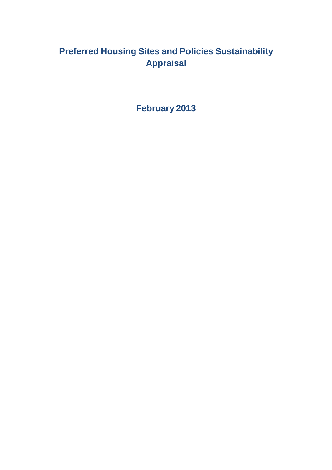# **Preferred Housing Sites and Policies Sustainability Appraisal**

**February 2013**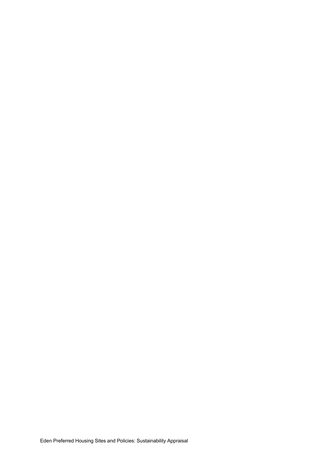Eden Preferred Housing Sites and Policies: Sustainability Appraisal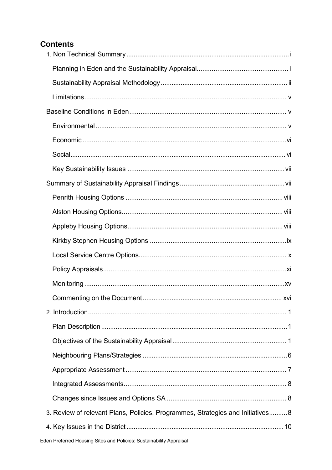# **Contents**

| 3. Review of relevant Plans, Policies, Programmes, Strategies and Initiatives 8 |  |
|---------------------------------------------------------------------------------|--|
|                                                                                 |  |
|                                                                                 |  |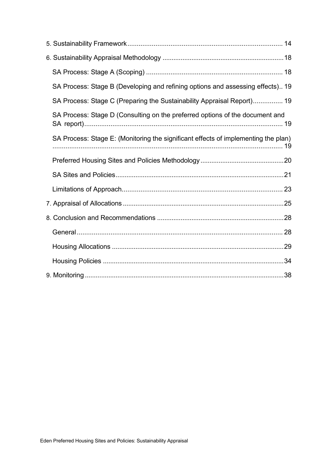| SA Process: Stage B (Developing and refining options and assessing effects) 19     |  |
|------------------------------------------------------------------------------------|--|
| SA Process: Stage C (Preparing the Sustainability Appraisal Report) 19             |  |
| SA Process: Stage D (Consulting on the preferred options of the document and       |  |
| SA Process: Stage E: (Monitoring the significant effects of implementing the plan) |  |
|                                                                                    |  |
|                                                                                    |  |
|                                                                                    |  |
|                                                                                    |  |
|                                                                                    |  |
|                                                                                    |  |
|                                                                                    |  |
|                                                                                    |  |
|                                                                                    |  |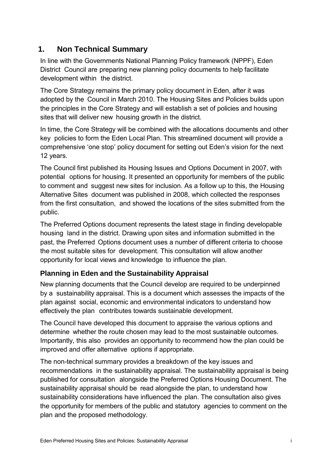# **1. Non Technical Summary**

In line with the Governments National Planning Policy framework (NPPF), Eden District Council are preparing new planning policy documents to help facilitate development within the district.

The Core Strategy remains the primary policy document in Eden, after it was adopted by the Council in March 2010. The Housing Sites and Policies builds upon the principles in the Core Strategy and will establish a set of policies and housing sites that will deliver new housing growth in the district.

In time, the Core Strategy will be combined with the allocations documents and other key policies to form the Eden Local Plan. This streamlined document will provide a comprehensive 'one stop' policy document for setting out Eden's vision for the next 12 years.

The Council first published its Housing Issues and Options Document in 2007, with potential options for housing. It presented an opportunity for members of the public to comment and suggest new sites for inclusion. As a follow up to this, the Housing Alternative Sites document was published in 2008, which collected the responses from the first consultation, and showed the locations of the sites submitted from the public.

The Preferred Options document represents the latest stage in finding developable housing land in the district. Drawing upon sites and information submitted in the past, the Preferred Options document uses a number of different criteria to choose the most suitable sites for development. This consultation will allow another opportunity for local views and knowledge to influence the plan.

# **Planning in Eden and the Sustainability Appraisal**

New planning documents that the Council develop are required to be underpinned by a sustainability appraisal. This is a document which assesses the impacts of the plan against social, economic and environmental indicators to understand how effectively the plan contributes towards sustainable development.

The Council have developed this document to appraise the various options and determine whether the route chosen may lead to the most sustainable outcomes. Importantly, this also provides an opportunity to recommend how the plan could be improved and offer alternative options if appropriate.

The non-technical summary provides a breakdown of the key issues and recommendations in the sustainability appraisal. The sustainability appraisal is being published for consultation alongside the Preferred Options Housing Document. The sustainability appraisal should be read alongside the plan, to understand how sustainability considerations have influenced the plan. The consultation also gives the opportunity for members of the public and statutory agencies to comment on the plan and the proposed methodology.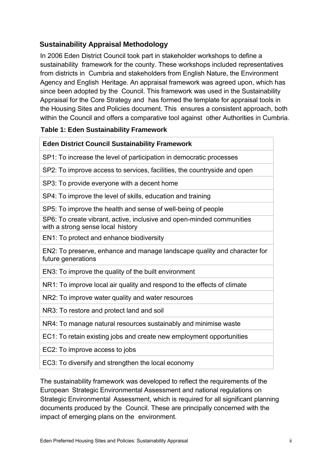# **Sustainability Appraisal Methodology**

In 2006 Eden District Council took part in stakeholder workshops to define a sustainability framework for the county. These workshops included representatives from districts in Cumbria and stakeholders from English Nature, the Environment Agency and English Heritage. An appraisal framework was agreed upon, which has since been adopted by the Council. This framework was used in the Sustainability Appraisal for the Core Strategy and has formed the template for appraisal tools in the Housing Sites and Policies document. This ensures a consistent approach, both within the Council and offers a comparative tool against other Authorities in Cumbria.

#### **Table 1: Eden Sustainability Framework**

| <b>Eden District Council Sustainability Framework</b>                                                      |
|------------------------------------------------------------------------------------------------------------|
| SP1: To increase the level of participation in democratic processes                                        |
| SP2: To improve access to services, facilities, the countryside and open                                   |
| SP3: To provide everyone with a decent home                                                                |
| SP4: To improve the level of skills, education and training                                                |
| SP5: To improve the health and sense of well-being of people                                               |
| SP6: To create vibrant, active, inclusive and open-minded communities<br>with a strong sense local history |
| EN1: To protect and enhance biodiversity                                                                   |
| EN2: To preserve, enhance and manage landscape quality and character for<br>future generations             |
| EN3: To improve the quality of the built environment                                                       |
| NR1: To improve local air quality and respond to the effects of climate                                    |
| NR2: To improve water quality and water resources                                                          |
| NR3: To restore and protect land and soil                                                                  |
| NR4: To manage natural resources sustainably and minimise waste                                            |
| EC1: To retain existing jobs and create new employment opportunities                                       |
|                                                                                                            |

EC2: To improve access to jobs

EC3: To diversify and strengthen the local economy

The sustainability framework was developed to reflect the requirements of the European Strategic Environmental Assessment and national regulations on Strategic Environmental Assessment, which is required for all significant planning documents produced by the Council. These are principally concerned with the impact of emerging plans on the environment.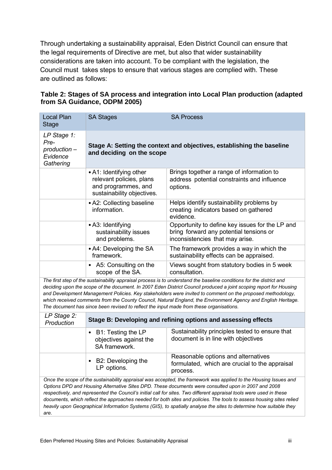Through undertaking a sustainability appraisal, Eden District Council can ensure that the legal requirements of Directive are met, but also that wider sustainability considerations are taken into account. To be compliant with the legislation, the Council must takes steps to ensure that various stages are complied with. These are outlined as follows:

| from SA Guidance, ODPM 2005) |  |  | Table 2: Stages of SA process and integration into Local Plan production (adapted |  |
|------------------------------|--|--|-----------------------------------------------------------------------------------|--|
|                              |  |  |                                                                                   |  |
|                              |  |  |                                                                                   |  |

| <b>Local Plan</b><br><b>Stage</b>                                                                                                                                                                                                                                                                                                                                                                                                                                                                                                                                                                     | <b>SA Stages</b>                                                                                         | <b>SA Process</b>                                                                                                             |  |  |
|-------------------------------------------------------------------------------------------------------------------------------------------------------------------------------------------------------------------------------------------------------------------------------------------------------------------------------------------------------------------------------------------------------------------------------------------------------------------------------------------------------------------------------------------------------------------------------------------------------|----------------------------------------------------------------------------------------------------------|-------------------------------------------------------------------------------------------------------------------------------|--|--|
| LP Stage 1:<br>Pre-<br>$production -$<br>Evidence<br>Gathering                                                                                                                                                                                                                                                                                                                                                                                                                                                                                                                                        | Stage A: Setting the context and objectives, establishing the baseline<br>and deciding on the scope      |                                                                                                                               |  |  |
|                                                                                                                                                                                                                                                                                                                                                                                                                                                                                                                                                                                                       | • A1: Identifying other<br>relevant policies, plans<br>and programmes, and<br>sustainability objectives. | Brings together a range of information to<br>address potential constraints and influence<br>options.                          |  |  |
|                                                                                                                                                                                                                                                                                                                                                                                                                                                                                                                                                                                                       | • A2: Collecting baseline<br>information.                                                                | Helps identify sustainability problems by<br>creating indicators based on gathered<br>evidence.                               |  |  |
|                                                                                                                                                                                                                                                                                                                                                                                                                                                                                                                                                                                                       | • A3: Identifying<br>sustainability issues<br>and problems.                                              | Opportunity to define key issues for the LP and<br>bring forward any potential tensions or<br>inconsistencies that may arise. |  |  |
|                                                                                                                                                                                                                                                                                                                                                                                                                                                                                                                                                                                                       | • A4: Developing the SA<br>framework.                                                                    | The framework provides a way in which the<br>sustainability effects can be appraised.                                         |  |  |
|                                                                                                                                                                                                                                                                                                                                                                                                                                                                                                                                                                                                       | • A5: Consulting on the<br>scope of the SA.                                                              | Views sought from statutory bodies in 5 week<br>consultation.                                                                 |  |  |
| The first step of the sustainability appraisal process is to understand the baseline conditions for the district and<br>deciding upon the scope of the document. In 2007 Eden District Council produced a joint scoping report for Housing<br>and Development Management Policies. Key stakeholders were invited to comment on the proposed methodology,<br>which received comments from the County Council, Natural England, the Environment Agency and English Heritage.<br>The document has since been revised to reflect the input made from these organisations.                                 |                                                                                                          |                                                                                                                               |  |  |
| LP Stage 2:<br>Production                                                                                                                                                                                                                                                                                                                                                                                                                                                                                                                                                                             | Stage B: Developing and refining options and assessing effects                                           |                                                                                                                               |  |  |
|                                                                                                                                                                                                                                                                                                                                                                                                                                                                                                                                                                                                       | B1: Testing the LP<br>$\bullet$<br>objectives against the<br>SA framework.                               | Sustainability principles tested to ensure that<br>document is in line with objectives                                        |  |  |
|                                                                                                                                                                                                                                                                                                                                                                                                                                                                                                                                                                                                       | B2: Developing the<br>LP options.                                                                        | Reasonable options and alternatives<br>formulated, which are crucial to the appraisal<br>process.                             |  |  |
| Once the scope of the sustainability appraisal was accepted, the framework was applied to the Housing Issues and<br>Options DPD and Housing Alternative Sites DPD. These documents were consulted upon in 2007 and 2008<br>respectively, and represented the Council's initial call for sites. Two different appraisal tools were used in these<br>documents, which reflect the approaches needed for both sites and policies. The tools to assess housing sites relied<br>heavily upon Geographical Information Systems (GIS), to spatially analyse the sites to determine how suitable they<br>are. |                                                                                                          |                                                                                                                               |  |  |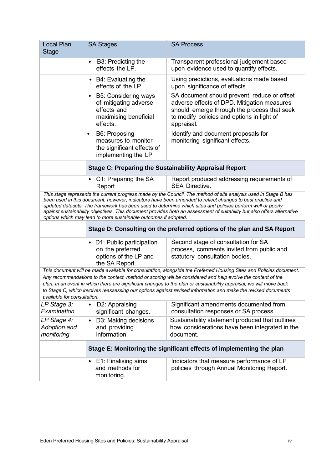| <b>Local Plan</b><br><b>Stage</b>         | <b>SA Stages</b>                                                                                              | <b>SA Process</b>                                                                                                                                                                                                                                                                                                                                                                                                                                                          |
|-------------------------------------------|---------------------------------------------------------------------------------------------------------------|----------------------------------------------------------------------------------------------------------------------------------------------------------------------------------------------------------------------------------------------------------------------------------------------------------------------------------------------------------------------------------------------------------------------------------------------------------------------------|
|                                           | B3: Predicting the<br>$\bullet$<br>effects the LP.                                                            | Transparent professional judgement based<br>upon evidence used to quantify effects.                                                                                                                                                                                                                                                                                                                                                                                        |
|                                           | • B4: Evaluating the<br>effects of the LP.                                                                    | Using predictions, evaluations made based<br>upon significance of effects.                                                                                                                                                                                                                                                                                                                                                                                                 |
|                                           | <b>B5: Considering ways</b><br>of mitigating adverse<br>effects and<br>maximising beneficial<br>effects.      | SA document should prevent, reduce or offset<br>adverse effects of DPD. Mitigation measures<br>should emerge through the process that seek<br>to modify policies and options in light of<br>appraisal.                                                                                                                                                                                                                                                                     |
|                                           | <b>B6: Proposing</b><br>$\bullet$<br>measures to monitor<br>the significant effects of<br>implementing the LP | Identify and document proposals for<br>monitoring significant effects.                                                                                                                                                                                                                                                                                                                                                                                                     |
|                                           |                                                                                                               | <b>Stage C: Preparing the Sustainability Appraisal Report</b>                                                                                                                                                                                                                                                                                                                                                                                                              |
|                                           | • C1: Preparing the SA<br>Report.                                                                             | Report produced addressing requirements of<br><b>SEA Directive.</b>                                                                                                                                                                                                                                                                                                                                                                                                        |
|                                           | options which may lead to more sustainable outcomes if adopted.                                               | This stage represents the current progress made by the Council. The method of site analysis used in Stage B has<br>been used in this document, however, indicators have been amended to reflect changes to best practice and<br>updated datasets. The framework has been used to determine which sites and policies perform well or poorly<br>against sustainability objectives. This document provides both an assessment of suitability but also offers alternative      |
|                                           |                                                                                                               | Stage D: Consulting on the preferred options of the plan and SA Report                                                                                                                                                                                                                                                                                                                                                                                                     |
|                                           | • D1: Public participation<br>on the preferred<br>options of the LP and<br>the SA Report.                     | Second stage of consultation for SA<br>process, comments invited from public and<br>statutory consultation bodies.                                                                                                                                                                                                                                                                                                                                                         |
| available for consultation.               |                                                                                                               | This document will be made available for consultation, alongside the Preferred Housing Sites and Policies document.<br>Any recommendations to the context, method or scoring will be considered and help evolve the content of the<br>plan. In an event in which there are significant changes to the plan or sustainability appraisal, we will move back<br>to Stage C, which involves reassessing our options against revised information and make the revised documents |
| LP Stage 3:<br>Examination                | D2: Appraising<br>$\bullet$<br>significant changes.                                                           | Significant amendments documented from<br>consultation responses or SA process.                                                                                                                                                                                                                                                                                                                                                                                            |
| LP Stage 4:<br>Adoption and<br>monitoring | D3: Making decisions<br>$\bullet$<br>and providing<br>information.                                            | Sustainability statement produced that outlines<br>how considerations have been integrated in the<br>document.                                                                                                                                                                                                                                                                                                                                                             |
|                                           |                                                                                                               | Stage E: Monitoring the significant effects of implementing the plan                                                                                                                                                                                                                                                                                                                                                                                                       |
|                                           | E1: Finalising aims<br>$\bullet$<br>and methods for<br>monitoring.                                            | Indicators that measure performance of LP<br>policies through Annual Monitoring Report.                                                                                                                                                                                                                                                                                                                                                                                    |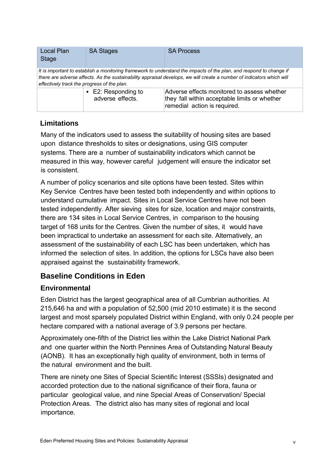| <b>Local Plan</b><br><b>Stage</b>                                                                                                                                                                                                                                                           | <b>SA Stages</b>                        | <b>SA Process</b>                                                                                                            |
|---------------------------------------------------------------------------------------------------------------------------------------------------------------------------------------------------------------------------------------------------------------------------------------------|-----------------------------------------|------------------------------------------------------------------------------------------------------------------------------|
| It is important to establish a monitoring framework to understand the impacts of the plan, and respond to change if<br>there are adverse affects. As the sustainability appraisal develops, we will create a number of indicators which will<br>effectively track the progress of the plan. |                                         |                                                                                                                              |
|                                                                                                                                                                                                                                                                                             | • E2: Responding to<br>adverse effects. | Adverse effects monitored to assess whether<br>they fall within acceptable limits or whether<br>remedial action is required. |

# **Limitations**

Many of the indicators used to assess the suitability of housing sites are based upon distance thresholds to sites or designations, using GIS computer systems. There are a number of sustainability indicators which cannot be measured in this way, however careful judgement will ensure the indicator set is consistent.

A number of policy scenarios and site options have been tested. Sites within Key Service Centres have been tested both independently and within options to understand cumulative impact. Sites in Local Service Centres have not been tested independently. After sieving sites for size, location and major constraints, there are 134 sites in Local Service Centres, in comparison to the housing target of 168 units for the Centres. Given the number of sites, it would have been impractical to undertake an assessment for each site. Alternatively, an assessment of the sustainability of each LSC has been undertaken, which has informed the selection of sites. In addition, the options for LSCs have also been appraised against the sustainability framework.

# **Baseline Conditions in Eden**

## **Environmental**

Eden District has the largest geographical area of all Cumbrian authorities. At 215,646 ha and with a population of 52,500 (mid 2010 estimate) it is the second largest and most sparsely populated District within England, with only 0.24 people per hectare compared with a national average of 3.9 persons per hectare.

Approximately one-fifth of the District lies within the Lake District National Park and one quarter within the North Pennines Area of Outstanding Natural Beauty (AONB). It has an exceptionally high quality of environment, both in terms of the natural environment and the built.

There are ninety one Sites of Special Scientific Interest (SSSIs) designated and accorded protection due to the national significance of their flora, fauna or particular geological value, and nine Special Areas of Conservation/ Special Protection Areas. The district also has many sites of regional and local importance.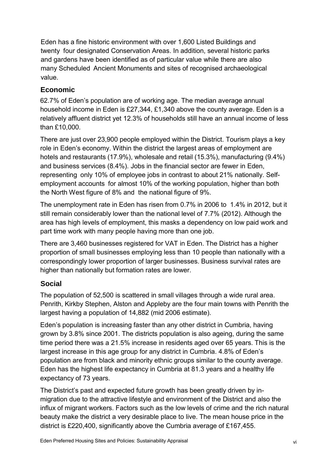Eden has a fine historic environment with over 1,600 Listed Buildings and twenty four designated Conservation Areas. In addition, several historic parks and gardens have been identified as of particular value while there are also many Scheduled Ancient Monuments and sites of recognised archaeological value.

# **Economic**

62.7% of Eden's population are of working age. The median average annual household income in Eden is £27,344, £1,340 above the county average. Eden is a relatively affluent district yet 12.3% of households still have an annual income of less than £10,000.

There are just over 23,900 people employed within the District. Tourism plays a key role in Eden's economy. Within the district the largest areas of employment are hotels and restaurants (17.9%), wholesale and retail (15.3%), manufacturing (9.4%) and business services (8.4%). Jobs in the financial sector are fewer in Eden, representing only 10% of employee jobs in contrast to about 21% nationally. Selfemployment accounts for almost 10% of the working population, higher than both the North West figure of 8% and the national figure of 9%.

The unemployment rate in Eden has risen from 0.7% in 2006 to 1.4% in 2012, but it still remain considerably lower than the national level of 7.7% (2012). Although the area has high levels of employment, this masks a dependency on low paid work and part time work with many people having more than one job.

There are 3,460 businesses registered for VAT in Eden. The District has a higher proportion of small businesses employing less than 10 people than nationally with a correspondingly lower proportion of larger businesses. Business survival rates are higher than nationally but formation rates are lower.

# **Social**

The population of 52,500 is scattered in small villages through a wide rural area. Penrith, Kirkby Stephen, Alston and Appleby are the four main towns with Penrith the largest having a population of 14,882 (mid 2006 estimate).

Eden's population is increasing faster than any other district in Cumbria, having grown by 3.8% since 2001. The districts population is also ageing, during the same time period there was a 21.5% increase in residents aged over 65 years. This is the largest increase in this age group for any district in Cumbria. 4.8% of Eden's population are from black and minority ethnic groups similar to the county average. Eden has the highest life expectancy in Cumbria at 81.3 years and a healthy life expectancy of 73 years.

The District's past and expected future growth has been greatly driven by inmigration due to the attractive lifestyle and environment of the District and also the influx of migrant workers. Factors such as the low levels of crime and the rich natural beauty make the district a very desirable place to live. The mean house price in the district is £220,400, significantly above the Cumbria average of £167,455.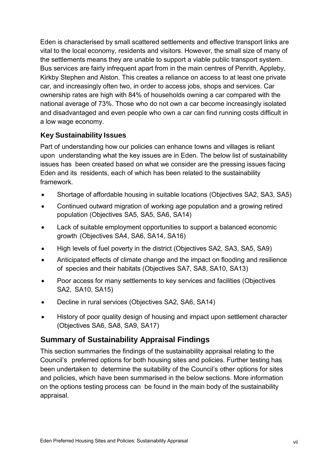Eden is characterised by small scattered settlements and effective transport links are vital to the local economy, residents and visitors. However, the small size of many of the settlements means they are unable to support a viable public transport system. Bus services are fairly infrequent apart from in the main centres of Penrith, Appleby, Kirkby Stephen and Alston. This creates a reliance on access to at least one private car, and increasingly often two, in order to access jobs, shops and services. Car ownership rates are high with 84% of households owning a car compared with the national average of 73%. Those who do not own a car become increasingly isolated and disadvantaged and even people who own a car can find running costs difficult in a low wage economy.

## **Key Sustainability Issues**

Part of understanding how our policies can enhance towns and villages is reliant upon understanding what the key issues are in Eden. The below list of sustainability issues has been created based on what we consider are the pressing issues facing Eden and its residents, each of which has been related to the sustainability framework.

- Shortage of affordable housing in suitable locations (Objectives SA2, SA3, SA5)
- Continued outward migration of working age population and a growing retired population (Objectives SA5, SA5, SA6, SA14)
- Lack of suitable employment opportunities to support a balanced economic growth (Objectives SA4, SA6, SA14, SA16)
- High levels of fuel poverty in the district (Objectives SA2, SA3, SA5, SA9)
- Anticipated effects of climate change and the impact on flooding and resilience of species and their habitats (Objectives SA7, SA8, SA10, SA13)
- Poor access for many settlements to key services and facilities (Objectives SA2, SA10, SA15)
- Decline in rural services (Objectives SA2, SA6, SA14)
- History of poor quality design of housing and impact upon settlement character (Objectives SA6, SA8, SA9, SA17)

# **Summary of Sustainability Appraisal Findings**

This section summaries the findings of the sustainability appraisal relating to the Council's preferred options for both housing sites and policies. Further testing has been undertaken to determine the suitability of the Council's other options for sites and policies, which have been summarised in the below sections. More information on the options testing process can be found in the main body of the sustainability appraisal.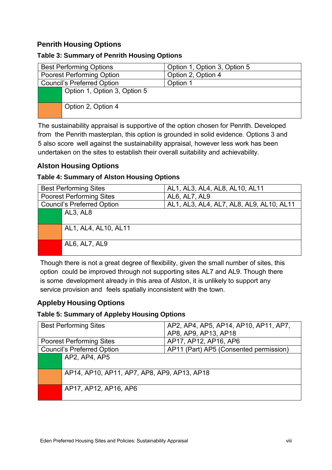# **Penrith Housing Options**

| <b>Best Performing Options</b>    | Option 1, Option 3, Option 5 |
|-----------------------------------|------------------------------|
| <b>Poorest Performing Option</b>  | Option 2, Option 4           |
| <b>Council's Preferred Option</b> | Option 1                     |
| Option 1, Option 3, Option 5      |                              |
|                                   |                              |
| Option 2, Option 4                |                              |
|                                   |                              |

#### **Table 3: Summary of Penrith Housing Options**

The sustainability appraisal is supportive of the option chosen for Penrith. Developed from the Penrith masterplan, this option is grounded in solid evidence. Options 3 and 5 also score well against the sustainability appraisal, however less work has been undertaken on the sites to establish their overall suitability and achievability.

#### **Alston Housing Options**

#### **Table 4: Summary of Alston Housing Options**

| <b>Best Performing Sites</b>      |                      | AL1, AL3, AL4, AL8, AL10, AL11           |
|-----------------------------------|----------------------|------------------------------------------|
|                                   |                      |                                          |
| <b>Poorest Performing Sites</b>   |                      | AL6, AL7, AL9                            |
| <b>Council's Preferred Option</b> |                      | AL1, AL3, AL4, AL7, AL8, AL9, AL10, AL11 |
|                                   | AL3, AL8             |                                          |
|                                   |                      |                                          |
|                                   | AL1, AL4, AL10, AL11 |                                          |
|                                   |                      |                                          |
|                                   | AL6, AL7, AL9        |                                          |
|                                   |                      |                                          |

Though there is not a great degree of flexibility, given the small number of sites, this option could be improved through not supporting sites AL7 and AL9. Though there is some development already in this area of Alston, it is unlikely to support any service provision and feels spatially inconsistent with the town.

## **Appleby Housing Options**

#### **Table 5: Summary of Appleby Housing Options**

| <b>Best Performing Sites</b>      | AP2, AP4, AP5, AP14, AP10, AP11, AP7,       |  |  |
|-----------------------------------|---------------------------------------------|--|--|
|                                   | AP8, AP9, AP13, AP18                        |  |  |
| <b>Poorest Performing Sites</b>   | AP17, AP12, AP16, AP6                       |  |  |
| <b>Council's Preferred Option</b> | AP11 (Part) AP5 (Consented permission)      |  |  |
| AP2, AP4, AP5                     |                                             |  |  |
|                                   |                                             |  |  |
|                                   | AP14, AP10, AP11, AP7, AP8, AP9, AP13, AP18 |  |  |
|                                   |                                             |  |  |
| AP17, AP12, AP16, AP6             |                                             |  |  |
|                                   |                                             |  |  |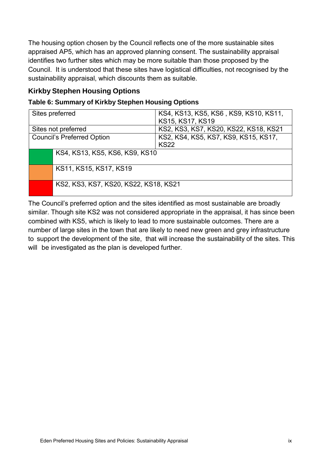The housing option chosen by the Council reflects one of the more sustainable sites appraised AP5, which has an approved planning consent. The sustainability appraisal identifies two further sites which may be more suitable than those proposed by the Council. It is understood that these sites have logistical difficulties, not recognised by the sustainability appraisal, which discounts them as suitable.

# **Kirkby Stephen Housing Options**

#### **Table 6: Summary of Kirkby Stephen Housing Options**

| Sites preferred                       | KS4, KS13, KS5, KS6, KS9, KS10, KS11, |  |
|---------------------------------------|---------------------------------------|--|
|                                       | KS15, KS17, KS19                      |  |
| Sites not preferred                   | KS2, KS3, KS7, KS20, KS22, KS18, KS21 |  |
| <b>Council's Preferred Option</b>     | KS2, KS4, KS5, KS7, KS9, KS15, KS17,  |  |
|                                       | <b>KS22</b>                           |  |
| KS4, KS13, KS5, KS6, KS9, KS10        |                                       |  |
|                                       |                                       |  |
| KS11, KS15, KS17, KS19                |                                       |  |
|                                       |                                       |  |
| KS2, KS3, KS7, KS20, KS22, KS18, KS21 |                                       |  |
|                                       |                                       |  |

The Council's preferred option and the sites identified as most sustainable are broadly similar. Though site KS2 was not considered appropriate in the appraisal, it has since been combined with KS5, which is likely to lead to more sustainable outcomes. There are a number of large sites in the town that are likely to need new green and grey infrastructure to support the development of the site, that will increase the sustainability of the sites. This will be investigated as the plan is developed further.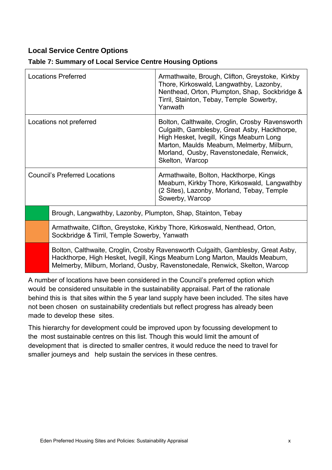# **Local Service Centre Options**

| <b>Locations Preferred</b>           |                                                                                                                                                                                                                                                 | Armathwaite, Brough, Clifton, Greystoke, Kirkby<br>Thore, Kirkoswald, Langwathby, Lazonby,<br>Nenthead, Orton, Plumpton, Shap, Sockbridge &<br>Tirril, Stainton, Tebay, Temple Sowerby,<br>Yanwath                                                       |  |
|--------------------------------------|-------------------------------------------------------------------------------------------------------------------------------------------------------------------------------------------------------------------------------------------------|----------------------------------------------------------------------------------------------------------------------------------------------------------------------------------------------------------------------------------------------------------|--|
| Locations not preferred              |                                                                                                                                                                                                                                                 | Bolton, Calthwaite, Croglin, Crosby Ravensworth<br>Culgaith, Gamblesby, Great Asby, Hackthorpe,<br>High Hesket, Ivegill, Kings Meaburn Long<br>Marton, Maulds Meaburn, Melmerby, Milburn,<br>Morland, Ousby, Ravenstonedale, Renwick,<br>Skelton, Warcop |  |
| <b>Council's Preferred Locations</b> |                                                                                                                                                                                                                                                 | Armathwaite, Bolton, Hackthorpe, Kings<br>Meaburn, Kirkby Thore, Kirkoswald, Langwathby<br>(2 Sites), Lazonby, Morland, Tebay, Temple<br>Sowerby, Warcop                                                                                                 |  |
|                                      | Brough, Langwathby, Lazonby, Plumpton, Shap, Stainton, Tebay                                                                                                                                                                                    |                                                                                                                                                                                                                                                          |  |
|                                      | Armathwaite, Clifton, Greystoke, Kirkby Thore, Kirkoswald, Nenthead, Orton,<br>Sockbridge & Tirril, Temple Sowerby, Yanwath                                                                                                                     |                                                                                                                                                                                                                                                          |  |
|                                      | Bolton, Calthwaite, Croglin, Crosby Ravensworth Culgaith, Gamblesby, Great Asby,<br>Hackthorpe, High Hesket, Ivegill, Kings Meaburn Long Marton, Maulds Meaburn,<br>Melmerby, Milburn, Morland, Ousby, Ravenstonedale, Renwick, Skelton, Warcop |                                                                                                                                                                                                                                                          |  |

#### **Table 7: Summary of Local Service Centre Housing Options**

A number of locations have been considered in the Council's preferred option which would be considered unsuitable in the sustainability appraisal. Part of the rationale behind this is that sites within the 5 year land supply have been included. The sites have not been chosen on sustainability credentials but reflect progress has already been made to develop these sites.

This hierarchy for development could be improved upon by focussing development to the most sustainable centres on this list. Though this would limit the amount of development that is directed to smaller centres, it would reduce the need to travel for smaller journeys and help sustain the services in these centres.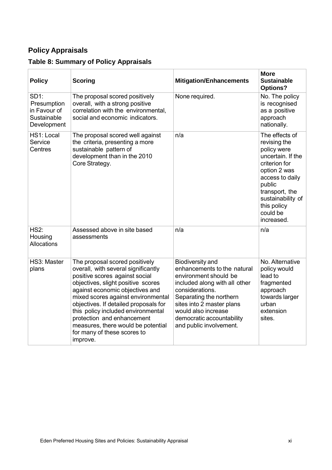# **Policy Appraisals**

# **Table 8: Summary of Policy Appraisals**

| <b>Policy</b>                                                     | <b>Scoring</b>                                                                                                                                                                                                                                                                                                                                                                                                       | <b>Mitigation/Enhancements</b>                                                                                                                                                                                                                                             | <b>More</b><br><b>Sustainable</b><br><b>Options?</b>                                                                                                                                                             |
|-------------------------------------------------------------------|----------------------------------------------------------------------------------------------------------------------------------------------------------------------------------------------------------------------------------------------------------------------------------------------------------------------------------------------------------------------------------------------------------------------|----------------------------------------------------------------------------------------------------------------------------------------------------------------------------------------------------------------------------------------------------------------------------|------------------------------------------------------------------------------------------------------------------------------------------------------------------------------------------------------------------|
| SD1:<br>Presumption<br>in Favour of<br>Sustainable<br>Development | The proposal scored positively<br>overall, with a strong positive<br>correlation with the environmental,<br>social and economic indicators.                                                                                                                                                                                                                                                                          | None required.                                                                                                                                                                                                                                                             | No. The policy<br>is recognised<br>as a positive<br>approach<br>nationally.                                                                                                                                      |
| HS1: Local<br>Service<br>Centres                                  | The proposal scored well against<br>the criteria, presenting a more<br>sustainable pattern of<br>development than in the 2010<br>Core Strategy.                                                                                                                                                                                                                                                                      | n/a                                                                                                                                                                                                                                                                        | The effects of<br>revising the<br>policy were<br>uncertain. If the<br>criterion for<br>option 2 was<br>access to daily<br>public<br>transport, the<br>sustainability of<br>this policy<br>could be<br>increased. |
| <b>HS2:</b><br>Housing<br><b>Allocations</b>                      | Assessed above in site based<br>assessments                                                                                                                                                                                                                                                                                                                                                                          | n/a                                                                                                                                                                                                                                                                        | n/a                                                                                                                                                                                                              |
| HS3: Master<br>plans                                              | The proposal scored positively<br>overall, with several significantly<br>positive scores against social<br>objectives, slight positive scores<br>against economic objectives and<br>mixed scores against environmental<br>objectives. If detailed proposals for<br>this policy included environmental<br>protection and enhancement<br>measures, there would be potential<br>for many of these scores to<br>improve. | <b>Biodiversity and</b><br>enhancements to the natural<br>environment should be<br>included along with all other<br>considerations.<br>Separating the northern<br>sites into 2 master plans<br>would also increase<br>democratic accountability<br>and public involvement. | No. Alternative<br>policy would<br>lead to<br>fragmented<br>approach<br>towards larger<br>urban<br>extension<br>sites.                                                                                           |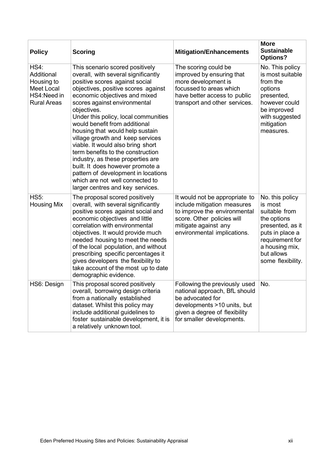| <b>Policy</b>                                                                                 | <b>Scoring</b>                                                                                                                                                                                                                                                                                                                                                                                                                                                                                                                                                                                                                                   | <b>Mitigation/Enhancements</b>                                                                                                                                                     | <b>More</b><br><b>Sustainable</b><br><b>Options?</b>                                                                                                                      |  |
|-----------------------------------------------------------------------------------------------|--------------------------------------------------------------------------------------------------------------------------------------------------------------------------------------------------------------------------------------------------------------------------------------------------------------------------------------------------------------------------------------------------------------------------------------------------------------------------------------------------------------------------------------------------------------------------------------------------------------------------------------------------|------------------------------------------------------------------------------------------------------------------------------------------------------------------------------------|---------------------------------------------------------------------------------------------------------------------------------------------------------------------------|--|
| $HS4$ :<br>Additional<br>Housing to<br><b>Meet Local</b><br>HS4:Need in<br><b>Rural Areas</b> | This scenario scored positively<br>overall, with several significantly<br>positive scores against social<br>objectives, positive scores against<br>economic objectives and mixed<br>scores against environmental<br>objectives.<br>Under this policy, local communities<br>would benefit from additional<br>housing that would help sustain<br>village growth and keep services<br>viable. It would also bring short<br>term benefits to the construction<br>industry, as these properties are<br>built. It does however promote a<br>pattern of development in locations<br>which are not well connected to<br>larger centres and key services. | The scoring could be<br>improved by ensuring that<br>more development is<br>focussed to areas which<br>have better access to public<br>transport and other services.               | No. This policy<br>is most suitable<br>from the<br>options<br>presented,<br>however could<br>be improved<br>with suggested<br>mitigation<br>measures.                     |  |
| <b>HS5:</b><br><b>Housing Mix</b>                                                             | The proposal scored positively<br>overall, with several significantly<br>positive scores against social and<br>economic objectives and little<br>correlation with environmental<br>objectives. It would provide much<br>needed housing to meet the needs<br>of the local population, and without<br>prescribing specific percentages it<br>gives developers the flexibility to<br>take account of the most up to date<br>demographic evidence.                                                                                                                                                                                                   | It would not be appropriate to<br>include mitigation measures<br>to improve the environmental<br>score. Other policies will<br>mitigate against any<br>environmental implications. | No. this policy<br>is most<br>suitable from<br>the options<br>presented, as it<br>puts in place a<br>requirement for<br>a housing mix,<br>but allows<br>some flexibility. |  |
| HS6: Design                                                                                   | This proposal scored positively<br>overall, borrowing design criteria<br>from a nationally established<br>dataset. Whilst this policy may<br>include additional guidelines to<br>foster sustainable development, it is<br>a relatively unknown tool.                                                                                                                                                                                                                                                                                                                                                                                             | Following the previously used<br>national approach, BfL should<br>be advocated for<br>developments >10 units, but<br>given a degree of flexibility<br>for smaller developments.    | No.                                                                                                                                                                       |  |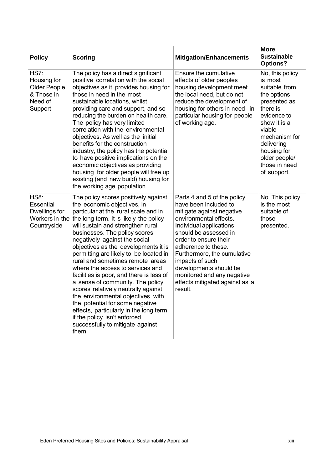| <b>Policy</b>                                                                         | <b>Scoring</b>                                                                                                                                                                                                                                                                                                                                                                                                                                                                                                                                                                                                                                                                                                                                 | <b>Mitigation/Enhancements</b>                                                                                                                                                                                                                                                                                                                                         | <b>More</b><br><b>Sustainable</b><br><b>Options?</b>                                                                                                                                                                           |
|---------------------------------------------------------------------------------------|------------------------------------------------------------------------------------------------------------------------------------------------------------------------------------------------------------------------------------------------------------------------------------------------------------------------------------------------------------------------------------------------------------------------------------------------------------------------------------------------------------------------------------------------------------------------------------------------------------------------------------------------------------------------------------------------------------------------------------------------|------------------------------------------------------------------------------------------------------------------------------------------------------------------------------------------------------------------------------------------------------------------------------------------------------------------------------------------------------------------------|--------------------------------------------------------------------------------------------------------------------------------------------------------------------------------------------------------------------------------|
| <b>HS7:</b><br>Housing for<br><b>Older People</b><br>& Those in<br>Need of<br>Support | The policy has a direct significant<br>positive correlation with the social<br>objectives as it provides housing for<br>those in need in the most<br>sustainable locations, whilst<br>providing care and support, and so<br>reducing the burden on health care.<br>The policy has very limited<br>correlation with the environmental<br>objectives. As well as the initial<br>benefits for the construction<br>industry, the policy has the potential<br>to have positive implications on the<br>economic objectives as providing<br>housing for older people will free up<br>existing (and new build) housing for<br>the working age population.                                                                                              | Ensure the cumulative<br>effects of older peoples<br>housing development meet<br>the local need, but do not<br>reduce the development of<br>housing for others in need- in<br>particular housing for people<br>of working age.                                                                                                                                         | No, this policy<br>is most<br>suitable from<br>the options<br>presented as<br>there is<br>evidence to<br>show it is a<br>viable<br>mechanism for<br>delivering<br>housing for<br>older people/<br>those in need<br>of support. |
| <b>HS8:</b><br>Essential<br>Dwellings for<br>Workers in the<br>Countryside            | The policy scores positively against<br>the economic objectives, in<br>particular at the rural scale and in<br>the long term. It is likely the policy<br>will sustain and strengthen rural<br>businesses. The policy scores<br>negatively against the social<br>objectives as the developments it is<br>permitting are likely to be located in<br>rural and sometimes remote areas<br>where the access to services and<br>facilities is poor, and there is less of<br>a sense of community. The policy<br>scores relatively neutrally against<br>the environmental objectives, with<br>the potential for some negative<br>effects, particularly in the long term,<br>if the policy isn't enforced<br>successfully to mitigate against<br>them. | Parts 4 and 5 of the policy<br>have been included to<br>mitigate against negative<br>environmental effects.<br>Individual applications<br>should be assessed in<br>order to ensure their<br>adherence to these.<br>Furthermore, the cumulative<br>impacts of such<br>developments should be<br>monitored and any negative<br>effects mitigated against as a<br>result. | No. This policy<br>is the most<br>suitable of<br>those<br>presented.                                                                                                                                                           |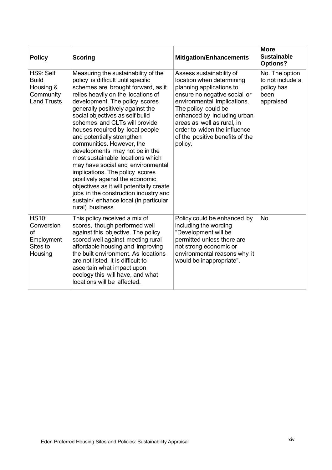| <b>Policy</b>                                                             | <b>Scoring</b>                                                                                                                                                                                                                                                                                                                                                                                                                                                                                                                                                                                                                                                                                                                   | <b>Mitigation/Enhancements</b>                                                                                                                                                                                                                                                                                     | <b>More</b><br><b>Sustainable</b><br><b>Options?</b>                  |
|---------------------------------------------------------------------------|----------------------------------------------------------------------------------------------------------------------------------------------------------------------------------------------------------------------------------------------------------------------------------------------------------------------------------------------------------------------------------------------------------------------------------------------------------------------------------------------------------------------------------------------------------------------------------------------------------------------------------------------------------------------------------------------------------------------------------|--------------------------------------------------------------------------------------------------------------------------------------------------------------------------------------------------------------------------------------------------------------------------------------------------------------------|-----------------------------------------------------------------------|
| HS9: Self<br><b>Build</b><br>Housing &<br>Community<br><b>Land Trusts</b> | Measuring the sustainability of the<br>policy is difficult until specific<br>schemes are brought forward, as it<br>relies heavily on the locations of<br>development. The policy scores<br>generally positively against the<br>social objectives as self build<br>schemes and CLTs will provide<br>houses required by local people<br>and potentially strengthen<br>communities. However, the<br>developments may not be in the<br>most sustainable locations which<br>may have social and environmental<br>implications. The policy scores<br>positively against the economic<br>objectives as it will potentially create<br>jobs in the construction industry and<br>sustain/ enhance local (in particular<br>rural) business. | Assess sustainability of<br>location when determining<br>planning applications to<br>ensure no negative social or<br>environmental implications.<br>The policy could be<br>enhanced by including urban<br>areas as well as rural, in<br>order to widen the influence<br>of the positive benefits of the<br>policy. | No. The option<br>to not include a<br>policy has<br>been<br>appraised |
| <b>HS10:</b><br>Conversion<br>of<br>Employment<br>Sites to<br>Housing     | This policy received a mix of<br>scores, though performed well<br>against this objective. The policy<br>scored well against meeting rural<br>affordable housing and improving<br>the built environment. As locations<br>are not listed, it is difficult to<br>ascertain what impact upon<br>ecology this will have, and what<br>locations will be affected.                                                                                                                                                                                                                                                                                                                                                                      | Policy could be enhanced by<br>including the wording<br>"Development will be<br>permitted unless there are<br>not strong economic or<br>environmental reasons why it<br>would be inappropriate".                                                                                                                   | <b>No</b>                                                             |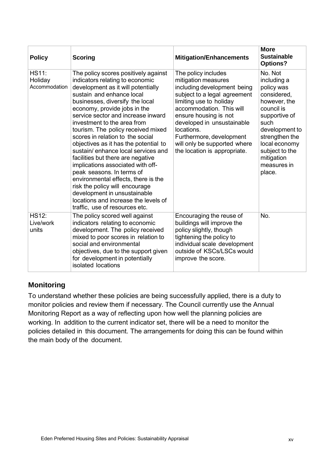| <b>Policy</b>                            | <b>Scoring</b>                                                                                                                                                                                                                                                                                                                                                                                                                                                                                                                                                                                                                                                                                                                         | <b>Mitigation/Enhancements</b>                                                                                                                                                                                                                                                                                                    | <b>More</b><br><b>Sustainable</b><br><b>Options?</b>                                                                                                                                                                     |
|------------------------------------------|----------------------------------------------------------------------------------------------------------------------------------------------------------------------------------------------------------------------------------------------------------------------------------------------------------------------------------------------------------------------------------------------------------------------------------------------------------------------------------------------------------------------------------------------------------------------------------------------------------------------------------------------------------------------------------------------------------------------------------------|-----------------------------------------------------------------------------------------------------------------------------------------------------------------------------------------------------------------------------------------------------------------------------------------------------------------------------------|--------------------------------------------------------------------------------------------------------------------------------------------------------------------------------------------------------------------------|
| <b>HS11:</b><br>Holiday<br>Accommodation | The policy scores positively against<br>indicators relating to economic<br>development as it will potentially<br>sustain and enhance local<br>businesses, diversify the local<br>economy, provide jobs in the<br>service sector and increase inward<br>investment to the area from<br>tourism. The policy received mixed<br>scores in relation to the social<br>objectives as it has the potential to<br>sustain/ enhance local services and<br>facilities but there are negative<br>implications associated with off-<br>peak seasons. In terms of<br>environmental effects, there is the<br>risk the policy will encourage<br>development in unsustainable<br>locations and increase the levels of<br>traffic, use of resources etc. | The policy includes<br>mitigation measures<br>including development being<br>subject to a legal agreement<br>limiting use to holiday<br>accommodation. This will<br>ensure housing is not<br>developed in unsustainable<br>locations.<br>Furthermore, development<br>will only be supported where<br>the location is appropriate. | No. Not<br>including a<br>policy was<br>considered,<br>however, the<br>council is<br>supportive of<br>such<br>development to<br>strengthen the<br>local economy<br>subject to the<br>mitigation<br>measures in<br>place. |
| <b>HS12:</b><br>Live/work<br>units       | The policy scored well against<br>indicators relating to economic<br>development. The policy received<br>mixed to poor scores in relation to<br>social and environmental<br>objectives, due to the support given<br>for development in potentially<br>isolated locations                                                                                                                                                                                                                                                                                                                                                                                                                                                               | Encouraging the reuse of<br>buildings will improve the<br>policy slightly, though<br>tightening the policy to<br>individual scale development<br>outside of KSCs/LSCs would<br>improve the score.                                                                                                                                 | No.                                                                                                                                                                                                                      |

# **Monitoring**

To understand whether these policies are being successfully applied, there is a duty to monitor policies and review them if necessary. The Council currently use the Annual Monitoring Report as a way of reflecting upon how well the planning policies are working. In addition to the current indicator set, there will be a need to monitor the policies detailed in this document. The arrangements for doing this can be found within the main body of the document.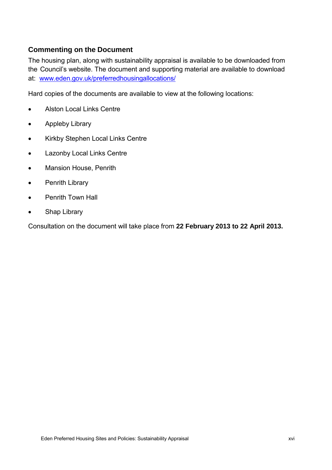### **Commenting on the Document**

The housing plan, along with sustainability appraisal is available to be downloaded from the Council's website. The document and supporting material are available to download at: [www.eden.gov.uk/preferredhousingallocations/](http://www.eden.gov.uk/preferredhousingallocations/)

Hard copies of the documents are available to view at the following locations:

- Alston Local Links Centre
- Appleby Library
- Kirkby Stephen Local Links Centre
- Lazonby Local Links Centre
- Mansion House, Penrith
- Penrith Library
- Penrith Town Hall
- Shap Library

Consultation on the document will take place from **22 February 2013 to 22 April 2013.**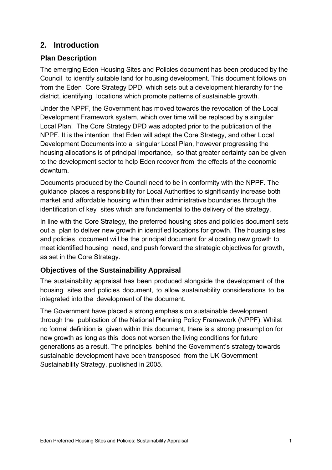# **2. Introduction**

# **Plan Description**

The emerging Eden Housing Sites and Policies document has been produced by the Council to identify suitable land for housing development. This document follows on from the Eden Core Strategy DPD, which sets out a development hierarchy for the district, identifying locations which promote patterns of sustainable growth.

Under the NPPF, the Government has moved towards the revocation of the Local Development Framework system, which over time will be replaced by a singular Local Plan. The Core Strategy DPD was adopted prior to the publication of the NPPF. It is the intention that Eden will adapt the Core Strategy, and other Local Development Documents into a singular Local Plan, however progressing the housing allocations is of principal importance, so that greater certainty can be given to the development sector to help Eden recover from the effects of the economic downturn.

Documents produced by the Council need to be in conformity with the NPPF. The guidance places a responsibility for Local Authorities to significantly increase both market and affordable housing within their administrative boundaries through the identification of key sites which are fundamental to the delivery of the strategy.

In line with the Core Strategy, the preferred housing sites and policies document sets out a plan to deliver new growth in identified locations for growth. The housing sites and policies document will be the principal document for allocating new growth to meet identified housing need, and push forward the strategic objectives for growth, as set in the Core Strategy.

## **Objectives of the Sustainability Appraisal**

The sustainability appraisal has been produced alongside the development of the housing sites and policies document, to allow sustainability considerations to be integrated into the development of the document.

The Government have placed a strong emphasis on sustainable development through the publication of the National Planning Policy Framework (NPPF). Whilst no formal definition is given within this document, there is a strong presumption for new growth as long as this does not worsen the living conditions for future generations as a result. The principles behind the Government's strategy towards sustainable development have been transposed from the UK Government Sustainability Strategy, published in 2005.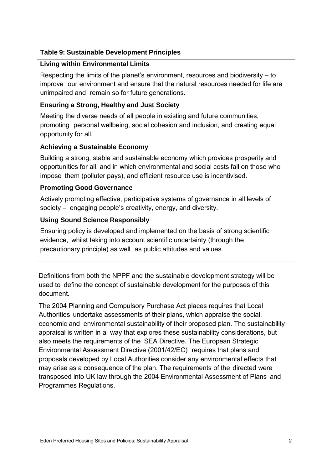#### **Table 9: Sustainable Development Principles**

#### **Living within Environmental Limits**

Respecting the limits of the planet's environment, resources and biodiversity – to improve our environment and ensure that the natural resources needed for life are unimpaired and remain so for future generations.

#### **Ensuring a Strong, Healthy and Just Society**

Meeting the diverse needs of all people in existing and future communities, promoting personal wellbeing, social cohesion and inclusion, and creating equal opportunity for all.

#### **Achieving a Sustainable Economy**

Building a strong, stable and sustainable economy which provides prosperity and opportunities for all, and in which environmental and social costs fall on those who impose them (polluter pays), and efficient resource use is incentivised.

#### **Promoting Good Governance**

Actively promoting effective, participative systems of governance in all levels of society – engaging people's creativity, energy, and diversity.

#### **Using Sound Science Responsibly**

Ensuring policy is developed and implemented on the basis of strong scientific evidence, whilst taking into account scientific uncertainty (through the precautionary principle) as well as public attitudes and values.

Definitions from both the NPPF and the sustainable development strategy will be used to define the concept of sustainable development for the purposes of this document.

The 2004 Planning and Compulsory Purchase Act places requires that Local Authorities undertake assessments of their plans, which appraise the social, economic and environmental sustainability of their proposed plan. The sustainability appraisal is written in a way that explores these sustainability considerations, but also meets the requirements of the SEA Directive. The European Strategic Environmental Assessment Directive (2001/42/EC) requires that plans and proposals developed by Local Authorities consider any environmental effects that may arise as a consequence of the plan. The requirements of the directed were transposed into UK law through the 2004 Environmental Assessment of Plans and Programmes Regulations.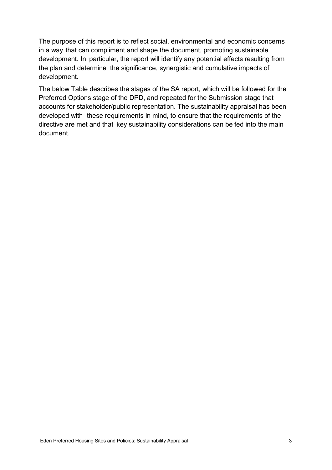The purpose of this report is to reflect social, environmental and economic concerns in a way that can compliment and shape the document, promoting sustainable development. In particular, the report will identify any potential effects resulting from the plan and determine the significance, synergistic and cumulative impacts of development.

The below Table describes the stages of the SA report, which will be followed for the Preferred Options stage of the DPD, and repeated for the Submission stage that accounts for stakeholder/public representation. The sustainability appraisal has been developed with these requirements in mind, to ensure that the requirements of the directive are met and that key sustainability considerations can be fed into the main document.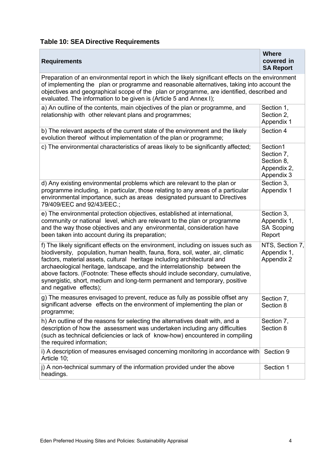# **Table 10: SEA Directive Requirements**

| <b>Requirements</b>                                                                                                                                                                                                                                                                                                                                                                                                                                                                                                    | <b>Where</b><br>covered in<br><b>SA Report</b>                    |
|------------------------------------------------------------------------------------------------------------------------------------------------------------------------------------------------------------------------------------------------------------------------------------------------------------------------------------------------------------------------------------------------------------------------------------------------------------------------------------------------------------------------|-------------------------------------------------------------------|
| Preparation of an environmental report in which the likely significant effects on the environment<br>of implementing the plan or programme and reasonable alternatives, taking into account the<br>objectives and geographical scope of the plan or programme, are identified, described and<br>evaluated. The information to be given is (Article 5 and Annex I);                                                                                                                                                     |                                                                   |
| a) An outline of the contents, main objectives of the plan or programme, and<br>relationship with other relevant plans and programmes;                                                                                                                                                                                                                                                                                                                                                                                 | Section 1,<br>Section 2,<br>Appendix 1                            |
| b) The relevant aspects of the current state of the environment and the likely<br>evolution thereof without implementation of the plan or programme;                                                                                                                                                                                                                                                                                                                                                                   | Section 4                                                         |
| c) The environmental characteristics of areas likely to be significantly affected;                                                                                                                                                                                                                                                                                                                                                                                                                                     | Section1<br>Section 7,<br>Section 8,<br>Appendix 2,<br>Appendix 3 |
| d) Any existing environmental problems which are relevant to the plan or<br>programme including, in particular, those relating to any areas of a particular<br>environmental importance, such as areas designated pursuant to Directives<br>79/409/EEC and 92/43/EEC.;                                                                                                                                                                                                                                                 | Section 3,<br>Appendix 1                                          |
| e) The environmental protection objectives, established at international,<br>community or national level, which are relevant to the plan or programme<br>and the way those objectives and any environmental, consideration have<br>been taken into account during its preparation;                                                                                                                                                                                                                                     | Section 3,<br>Appendix 1,<br><b>SA Scoping</b><br>Report          |
| f) The likely significant effects on the environment, including on issues such as<br>biodiversity, population, human health, fauna, flora, soil, water, air, climatic<br>factors, material assets, cultural heritage including architectural and<br>archaeological heritage, landscape, and the interrelationship between the<br>above factors. (Footnote: These effects should include secondary, cumulative,<br>synergistic, short, medium and long-term permanent and temporary, positive<br>and negative effects); | NTS, Section 7,<br>Appendix 1,<br>Appendix 2                      |
| g) The measures envisaged to prevent, reduce as fully as possible offset any<br>significant adverse effects on the environment of implementing the plan or<br>programme;                                                                                                                                                                                                                                                                                                                                               | Section 7.<br>Section 8                                           |
| h) An outline of the reasons for selecting the alternatives dealt with, and a<br>description of how the assessment was undertaken including any difficulties<br>(such as technical deficiencies or lack of know-how) encountered in compiling<br>the required information;                                                                                                                                                                                                                                             | Section 7,<br>Section 8                                           |
| i) A description of measures envisaged concerning monitoring in accordance with<br>Article 10;                                                                                                                                                                                                                                                                                                                                                                                                                         | Section 9                                                         |
| j) A non-technical summary of the information provided under the above<br>headings.                                                                                                                                                                                                                                                                                                                                                                                                                                    | Section 1                                                         |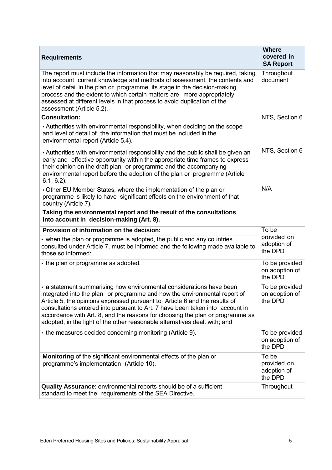| <b>Requirements</b>                                                                                                                                                                                                                                                                                                                                                                                                                                                             | <b>Where</b><br>covered in<br><b>SA Report</b> |
|---------------------------------------------------------------------------------------------------------------------------------------------------------------------------------------------------------------------------------------------------------------------------------------------------------------------------------------------------------------------------------------------------------------------------------------------------------------------------------|------------------------------------------------|
| The report must include the information that may reasonably be required, taking<br>into account current knowledge and methods of assessment, the contents and<br>level of detail in the plan or programme, its stage in the decision-making<br>process and the extent to which certain matters are more appropriately<br>assessed at different levels in that process to avoid duplication of the<br>assessment (Article 5.2).                                                  | Throughout<br>document                         |
| <b>Consultation:</b>                                                                                                                                                                                                                                                                                                                                                                                                                                                            | NTS, Section 6                                 |
| • Authorities with environmental responsibility, when deciding on the scope<br>and level of detail of the information that must be included in the<br>environmental report (Article 5.4).                                                                                                                                                                                                                                                                                       |                                                |
| • Authorities with environmental responsibility and the public shall be given an<br>early and effective opportunity within the appropriate time frames to express<br>their opinion on the draft plan or programme and the accompanying<br>environmental report before the adoption of the plan or programme (Article<br>$6.1, 6.2$ ).                                                                                                                                           | NTS, Section 6                                 |
| • Other EU Member States, where the implementation of the plan or<br>programme is likely to have significant effects on the environment of that<br>country (Article 7).                                                                                                                                                                                                                                                                                                         | N/A                                            |
| Taking the environmental report and the result of the consultations<br>into account in decision-making (Art. 8).                                                                                                                                                                                                                                                                                                                                                                |                                                |
| Provision of information on the decision:                                                                                                                                                                                                                                                                                                                                                                                                                                       | To be                                          |
| • when the plan or programme is adopted, the public and any countries<br>consulted under Article 7, must be informed and the following made available to<br>those so informed:                                                                                                                                                                                                                                                                                                  | provided on<br>adoption of<br>the DPD          |
| • the plan or programme as adopted.                                                                                                                                                                                                                                                                                                                                                                                                                                             | To be provided<br>on adoption of<br>the DPD    |
| • a statement summarising how environmental considerations have been<br>integrated into the plan or programme and how the environmental report of<br>Article 5, the opinions expressed pursuant to Article 6 and the results of<br>consultations entered into pursuant to Art. 7 have been taken into account in<br>accordance with Art. 8, and the reasons for choosing the plan or programme as<br>adopted, in the light of the other reasonable alternatives dealt with; and | To be provided<br>on adoption of<br>the DPD    |
| • the measures decided concerning monitoring (Article 9).                                                                                                                                                                                                                                                                                                                                                                                                                       | To be provided<br>on adoption of<br>the DPD    |
| Monitoring of the significant environmental effects of the plan or<br>programme's implementation (Article 10).                                                                                                                                                                                                                                                                                                                                                                  | To be<br>provided on<br>adoption of<br>the DPD |
| Quality Assurance: environmental reports should be of a sufficient<br>standard to meet the requirements of the SEA Directive.                                                                                                                                                                                                                                                                                                                                                   | Throughout                                     |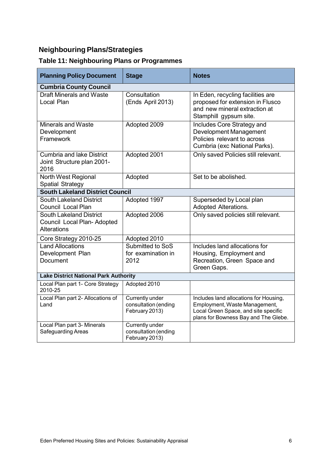# **Neighbouring Plans/Strategies**

# **Table 11: Neighbouring Plans or Programmes**

| <b>Planning Policy Document</b>                                                     | <b>Stage</b>                                              | <b>Notes</b>                                                                                                                                            |  |  |
|-------------------------------------------------------------------------------------|-----------------------------------------------------------|---------------------------------------------------------------------------------------------------------------------------------------------------------|--|--|
| <b>Cumbria County Council</b>                                                       |                                                           |                                                                                                                                                         |  |  |
| <b>Draft Minerals and Waste</b><br>Local Plan                                       | Consultation<br>(Ends April 2013)                         | In Eden, recycling facilities are<br>proposed for extension in Flusco<br>and new mineral extraction at<br>Stamphill gypsum site.                        |  |  |
| <b>Minerals and Waste</b><br>Development<br>Framework                               | Adopted 2009                                              | Includes Core Strategy and<br><b>Development Management</b><br>Policies relevant to across<br>Cumbria (exc National Parks).                             |  |  |
| <b>Cumbria and lake District</b><br>Joint Structure plan 2001-<br>2016              | Adopted 2001                                              | Only saved Policies still relevant.                                                                                                                     |  |  |
| North West Regional<br><b>Spatial Strategy</b>                                      | Adopted                                                   | Set to be abolished.                                                                                                                                    |  |  |
| <b>South Lakeland District Council</b>                                              |                                                           |                                                                                                                                                         |  |  |
| <b>South Lakeland District</b><br><b>Council Local Plan</b>                         | Adopted 1997                                              | Superseded by Local plan<br>Adopted Alterations.                                                                                                        |  |  |
| <b>South Lakeland District</b><br>Council Local Plan- Adopted<br><b>Alterations</b> | Adopted 2006                                              | Only saved policies still relevant.                                                                                                                     |  |  |
| Core Strategy 2010-25                                                               | Adopted 2010                                              |                                                                                                                                                         |  |  |
| <b>Land Allocations</b><br>Development Plan<br>Document                             | Submitted to SoS<br>for examination in<br>2012            | Includes land allocations for<br>Housing, Employment and<br>Recreation, Green Space and<br>Green Gaps.                                                  |  |  |
| <b>Lake District National Park Authority</b>                                        |                                                           |                                                                                                                                                         |  |  |
| Local Plan part 1- Core Strategy<br>2010-25                                         | Adopted 2010                                              |                                                                                                                                                         |  |  |
| Local Plan part 2- Allocations of<br>Land                                           | Currently under<br>consultation (ending<br>February 2013) | Includes land allocations for Housing,<br>Employment, Waste Management,<br>Local Green Space, and site specific<br>plans for Bowness Bay and The Glebe. |  |  |
| Local Plan part 3- Minerals<br>Safeguarding Areas                                   | Currently under<br>consultation (ending<br>February 2013) |                                                                                                                                                         |  |  |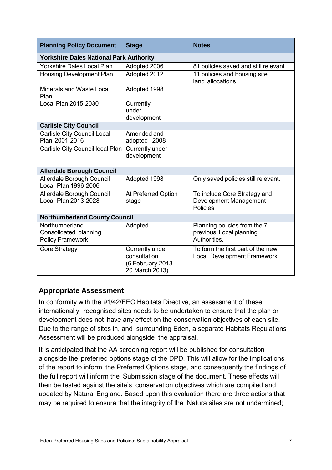| <b>Planning Policy Document</b>                                    | <b>Stage</b>                                                           | <b>Notes</b>                                                            |
|--------------------------------------------------------------------|------------------------------------------------------------------------|-------------------------------------------------------------------------|
| <b>Yorkshire Dales National Park Authority</b>                     |                                                                        |                                                                         |
| <b>Yorkshire Dales Local Plan</b>                                  | Adopted 2006                                                           | 81 policies saved and still relevant.                                   |
| <b>Housing Development Plan</b>                                    | Adopted 2012                                                           | 11 policies and housing site<br>land allocations.                       |
| Minerals and Waste Local<br>Plan                                   | Adopted 1998                                                           |                                                                         |
| Local Plan 2015-2030                                               | Currently<br>under<br>development                                      |                                                                         |
| <b>Carlisle City Council</b>                                       |                                                                        |                                                                         |
| <b>Carlisle City Council Local</b><br>Plan 2001-2016               | Amended and<br>adopted-2008                                            |                                                                         |
| Carlisle City Council local Plan                                   | Currently under<br>development                                         |                                                                         |
| <b>Allerdale Borough Council</b>                                   |                                                                        |                                                                         |
| Allerdale Borough Council<br>Local Plan 1996-2006                  | Adopted 1998                                                           | Only saved policies still relevant.                                     |
| Allerdale Borough Council<br>Local Plan 2013-2028                  | At Preferred Option<br>stage                                           | To include Core Strategy and<br>Development Management<br>Policies.     |
| <b>Northumberland County Council</b>                               |                                                                        |                                                                         |
| Northumberland<br>Consolidated planning<br><b>Policy Framework</b> | Adopted                                                                | Planning policies from the 7<br>previous Local planning<br>Authorities. |
| <b>Core Strategy</b>                                               | Currently under<br>consultation<br>(6 February 2013-<br>20 March 2013) | To form the first part of the new<br>Local Development Framework.       |

# **Appropriate Assessment**

In conformity with the 91/42/EEC Habitats Directive, an assessment of these internationally recognised sites needs to be undertaken to ensure that the plan or development does not have any effect on the conservation objectives of each site. Due to the range of sites in, and surrounding Eden, a separate Habitats Regulations Assessment will be produced alongside the appraisal.

It is anticipated that the AA screening report will be published for consultation alongside the preferred options stage of the DPD. This will allow for the implications of the report to inform the Preferred Options stage, and consequently the findings of the full report will inform the Submission stage of the document. These effects will then be tested against the site's conservation objectives which are compiled and updated by Natural England. Based upon this evaluation there are three actions that may be required to ensure that the integrity of the Natura sites are not undermined;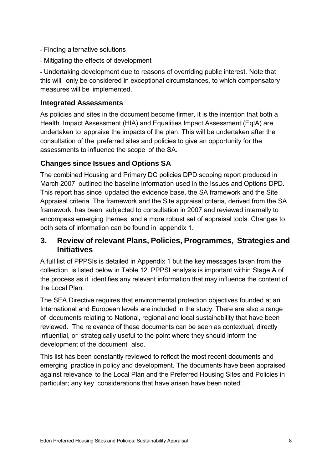- Finding alternative solutions
- Mitigating the effects of development

- Undertaking development due to reasons of overriding public interest. Note that this will only be considered in exceptional circumstances, to which compensatory measures will be implemented.

#### **Integrated Assessments**

As policies and sites in the document become firmer, it is the intention that both a Health Impact Assessment (HIA) and Equalities Impact Assessment (EqIA) are undertaken to appraise the impacts of the plan. This will be undertaken after the consultation of the preferred sites and policies to give an opportunity for the assessments to influence the scope of the SA.

#### **Changes since Issues and Options SA**

The combined Housing and Primary DC policies DPD scoping report produced in March 2007 outlined the baseline information used in the Issues and Options DPD. This report has since updated the evidence base, the SA framework and the Site Appraisal criteria. The framework and the Site appraisal criteria, derived from the SA framework, has been subjected to consultation in 2007 and reviewed internally to encompass emerging themes and a more robust set of appraisal tools. Changes to both sets of information can be found in appendix 1.

# **3. Review of relevant Plans, Policies, Programmes, Strategies and Initiatives**

A full list of PPPSIs is detailed in Appendix 1 but the key messages taken from the collection is listed below in Table 12. PPPSI analysis is important within Stage A of the process as it identifies any relevant information that may influence the content of the Local Plan.

The SEA Directive requires that environmental protection objectives founded at an International and European levels are included in the study. There are also a range of documents relating to National, regional and local sustainability that have been reviewed. The relevance of these documents can be seen as contextual, directly influential, or strategically useful to the point where they should inform the development of the document also.

This list has been constantly reviewed to reflect the most recent documents and emerging practice in policy and development. The documents have been appraised against relevance to the Local Plan and the Preferred Housing Sites and Policies in particular; any key considerations that have arisen have been noted.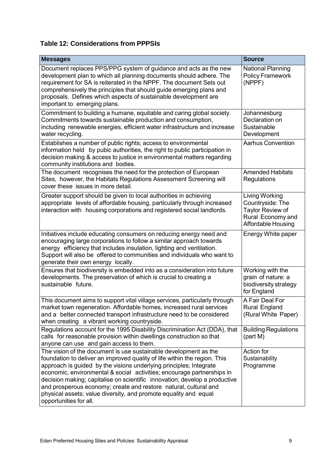# **Table 12: Considerations from PPPSIs**

| <b>Messages</b>                                                                                                                                                                                                                                                                                                                                                                                                                                                                                                                               | <b>Source</b>                                                                                            |
|-----------------------------------------------------------------------------------------------------------------------------------------------------------------------------------------------------------------------------------------------------------------------------------------------------------------------------------------------------------------------------------------------------------------------------------------------------------------------------------------------------------------------------------------------|----------------------------------------------------------------------------------------------------------|
| Document replaces PPS/PPG system of guidance and acts as the new<br>development plan to which all planning documents should adhere. The<br>requirement for SA is reiterated in the NPPF. The document Sets out<br>comprehensively the principles that should guide emerging plans and<br>proposals. Defines which aspects of sustainable development are<br>important to emerging plans.                                                                                                                                                      | <b>National Planning</b><br><b>Policy Framework</b><br>(NPPF)                                            |
| Commitment to building a humane, equitable and caring global society.<br>Commitments towards sustainable production and consumption,<br>including renewable energies, efficient water infrastructure and increase<br>water recycling.                                                                                                                                                                                                                                                                                                         | Johannesburg<br>Declaration on<br>Sustainable<br>Development                                             |
| Establishes a number of public rights; access to environmental<br>information held by pubic authorities, the right to public participation in<br>decision making & access to justice in environmental matters regarding<br>community institutions and bodies.                                                                                                                                                                                                                                                                                 | Aarhus Convention                                                                                        |
| The document recognises the need for the protection of European<br>Sites, however, the Habitats Regulations Assessment Screening will<br>cover these issues in more detail.                                                                                                                                                                                                                                                                                                                                                                   | <b>Amended Habitats</b><br>Regulations                                                                   |
| Greater support should be given to local authorities in achieving<br>appropriate levels of affordable housing, particularly through increased<br>interaction with housing corporations and registered social landlords.                                                                                                                                                                                                                                                                                                                       | Living Working<br>Countryside: The<br>Taylor Review of<br>Rural Economy and<br><b>Affordable Housing</b> |
| Initiatives include educating consumers on reducing energy need and<br>encouraging large corporations to follow a similar approach towards<br>energy efficiency that includes insulation, lighting and ventilation.<br>Support will also be offered to communities and individuals who want to<br>generate their own energy locally.                                                                                                                                                                                                          | Energy White paper                                                                                       |
| Ensures that biodiversity is embedded into as a consideration into future<br>developments. The preservation of which is crucial to creating a<br>sustainable future.                                                                                                                                                                                                                                                                                                                                                                          | Working with the<br>grain of nature: a<br>biodiversity strategy<br>for England                           |
| This document aims to support vital village services, particularly through<br>market town regeneration. Affordable homes, increased rural services<br>and a better connected transport infrastructure need to be considered<br>when creating a vibrant working countryside.                                                                                                                                                                                                                                                                   | A Fair Deal For<br><b>Rural England</b><br>(Rural White Paper)                                           |
| Regulations account for the 1995 Disability Discrimination Act (DDA), that<br>calls for reasonable provision within dwellings construction so that<br>anyone can use and gain access to them.                                                                                                                                                                                                                                                                                                                                                 | <b>Building Regulations</b><br>(part M)                                                                  |
| The vision of the document is use sustainable development as the<br>foundation to deliver an improved quality of life within the region. This<br>approach is guided by the visions underlying principles; Integrate<br>economic, environmental & social activities; encourage partnerships in<br>decision making; capitalise on scientific innovation; develop a productive<br>and prosperous economy; create and restore natural, cultural and<br>physical assets; value diversity, and promote equality and equal<br>opportunities for all. | Action for<br>Sustainability<br>Programme                                                                |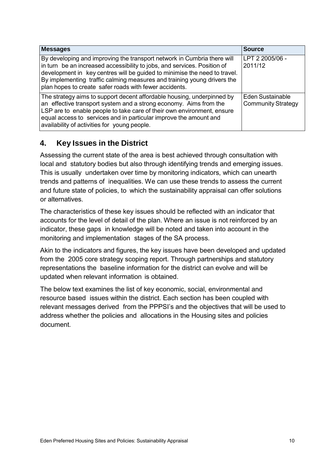| <b>Messages</b>                                                                                                                                                                                                                                                                                                                                                       | <b>Source</b>                                 |
|-----------------------------------------------------------------------------------------------------------------------------------------------------------------------------------------------------------------------------------------------------------------------------------------------------------------------------------------------------------------------|-----------------------------------------------|
| By developing and improving the transport network in Cumbria there will<br>in turn be an increased accessibility to jobs, and services. Position of<br>development in key centres will be guided to minimise the need to travel.<br>By implementing traffic calming measures and training young drivers the<br>plan hopes to create safer roads with fewer accidents. | LPT 2 2005/06 -<br>2011/12                    |
| The strategy aims to support decent affordable housing, underpinned by<br>an effective transport system and a strong economy. Aims from the<br>LSP are to enable people to take care of their own environment, ensure<br>equal access to services and in particular improve the amount and<br>availability of activities for young people.                            | Eden Sustainable<br><b>Community Strategy</b> |

# **4. Key Issues in the District**

Assessing the current state of the area is best achieved through consultation with local and statutory bodies but also through identifying trends and emerging issues. This is usually undertaken over time by monitoring indicators, which can unearth trends and patterns of inequalities. We can use these trends to assess the current and future state of policies, to which the sustainability appraisal can offer solutions or alternatives.

The characteristics of these key issues should be reflected with an indicator that accounts for the level of detail of the plan. Where an issue is not reinforced by an indicator, these gaps in knowledge will be noted and taken into account in the monitoring and implementation stages of the SA process.

Akin to the indicators and figures, the key issues have been developed and updated from the 2005 core strategy scoping report. Through partnerships and statutory representations the baseline information for the district can evolve and will be updated when relevant information is obtained.

The below text examines the list of key economic, social, environmental and resource based issues within the district. Each section has been coupled with relevant messages derived from the PPPSI's and the objectives that will be used to address whether the policies and allocations in the Housing sites and policies document.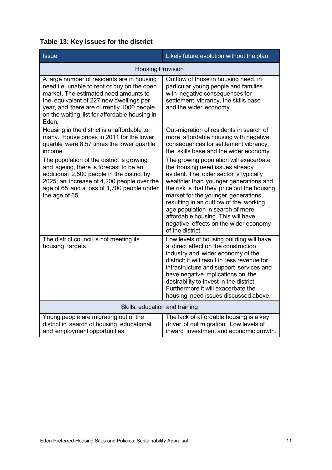| Table 13: Key issues for the district |  |  |  |  |  |  |  |
|---------------------------------------|--|--|--|--|--|--|--|
|---------------------------------------|--|--|--|--|--|--|--|

| <b>Issue</b>                                                                                                                                                                                                                                                                         | Likely future evolution without the plan                                                                                                                                                                                                                                                                                                                                                                                             |
|--------------------------------------------------------------------------------------------------------------------------------------------------------------------------------------------------------------------------------------------------------------------------------------|--------------------------------------------------------------------------------------------------------------------------------------------------------------------------------------------------------------------------------------------------------------------------------------------------------------------------------------------------------------------------------------------------------------------------------------|
| <b>Housing Provision</b>                                                                                                                                                                                                                                                             |                                                                                                                                                                                                                                                                                                                                                                                                                                      |
| A large number of residents are in housing<br>need i.e. unable to rent or buy on the open<br>market. The estimated need amounts to<br>the equivalent of 227 new dwellings per<br>year, and there are currently 1000 people<br>on the waiting list for affordable housing in<br>Eden. | Outflow of those in housing need, in<br>particular young people and families<br>with negative consequences for<br>settlement vibrancy, the skills base<br>and the wider economy.                                                                                                                                                                                                                                                     |
| Housing in the district is unaffordable to<br>many. House prices in 2011 for the lower<br>quartile were 8.57 times the lower quartile<br>income.                                                                                                                                     | Out-migration of residents in search of<br>more affordable housing with negative<br>consequences for settlement vibrancy,<br>the skills base and the wider economy.                                                                                                                                                                                                                                                                  |
| The population of the district is growing<br>and ageing, there is forecast to be an<br>additional 2,500 people in the district by<br>2025; an increase of 4,200 people over the<br>age of 65 and a loss of 1,700 people under<br>the age of 65.                                      | The growing population will exacerbate<br>the housing need issues already<br>evident. The older sector is typically<br>wealthier than younger generations and<br>the risk is that they price out the housing<br>market for the younger generations,<br>resulting in an outflow of the working<br>age population in search of more<br>affordable housing. This will have<br>negative effects on the wider economy<br>of the district. |
| The district council is not meeting its<br>housing targets.                                                                                                                                                                                                                          | Low levels of housing building will have<br>a direct effect on the construction<br>industry and wider economy of the<br>district; it will result in less revenue for<br>infrastructure and support services and<br>have negative implications on the<br>desirability to invest in the district.<br>Furthermore it will exacerbate the<br>housing need issues discussed above.                                                        |
| Skills, education and training                                                                                                                                                                                                                                                       |                                                                                                                                                                                                                                                                                                                                                                                                                                      |
| Young people are migrating out of the<br>district in search of housing, educational<br>and employment opportunities.                                                                                                                                                                 | The lack of affordable housing is a key<br>driver of out migration. Low levels of<br>inward investment and economic growth.                                                                                                                                                                                                                                                                                                          |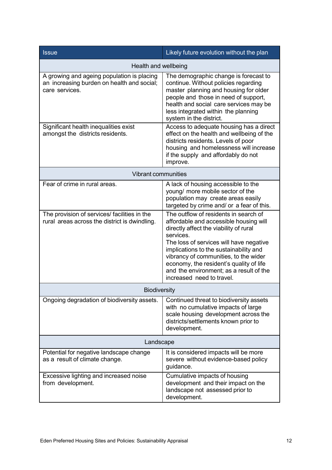| <b>Issue</b>                                                                                               | Likely future evolution without the plan                                                                                                                                                                                                                                                                                                                                                |  |  |  |  |
|------------------------------------------------------------------------------------------------------------|-----------------------------------------------------------------------------------------------------------------------------------------------------------------------------------------------------------------------------------------------------------------------------------------------------------------------------------------------------------------------------------------|--|--|--|--|
| Health and wellbeing                                                                                       |                                                                                                                                                                                                                                                                                                                                                                                         |  |  |  |  |
| A growing and ageing population is placing<br>an increasing burden on health and social;<br>care services. | The demographic change is forecast to<br>continue. Without policies regarding<br>master planning and housing for older<br>people and those in need of support,<br>health and social care services may be<br>less integrated within the planning<br>system in the district.                                                                                                              |  |  |  |  |
| Significant health inequalities exist<br>amongst the districts residents.                                  | Access to adequate housing has a direct<br>effect on the health and wellbeing of the<br>districts residents. Levels of poor<br>housing and homelessness will increase<br>if the supply and affordably do not<br>improve.                                                                                                                                                                |  |  |  |  |
| <b>Vibrant communities</b>                                                                                 |                                                                                                                                                                                                                                                                                                                                                                                         |  |  |  |  |
| Fear of crime in rural areas.                                                                              | A lack of housing accessible to the<br>young/ more mobile sector of the<br>population may create areas easily<br>targeted by crime and/ or a fear of this.                                                                                                                                                                                                                              |  |  |  |  |
| The provision of services/ facilities in the<br>rural areas across the district is dwindling.              | The outflow of residents in search of<br>affordable and accessible housing will<br>directly affect the viability of rural<br>services.<br>The loss of services will have negative<br>implications to the sustainability and<br>vibrancy of communities, to the wider<br>economy, the resident's quality of life<br>and the environment; as a result of the<br>increased need to travel. |  |  |  |  |
| <b>Biodiversity</b>                                                                                        |                                                                                                                                                                                                                                                                                                                                                                                         |  |  |  |  |
| Ongoing degradation of biodiversity assets.                                                                | Continued threat to biodiversity assets<br>with no cumulative impacts of large<br>scale housing development across the<br>districts/settlements known prior to<br>development.                                                                                                                                                                                                          |  |  |  |  |
| Landscape                                                                                                  |                                                                                                                                                                                                                                                                                                                                                                                         |  |  |  |  |
| Potential for negative landscape change<br>as a result of climate change.                                  | It is considered impacts will be more<br>severe without evidence-based policy<br>guidance.                                                                                                                                                                                                                                                                                              |  |  |  |  |
| Excessive lighting and increased noise<br>from development.                                                | Cumulative impacts of housing<br>development and their impact on the<br>landscape not assessed prior to<br>development.                                                                                                                                                                                                                                                                 |  |  |  |  |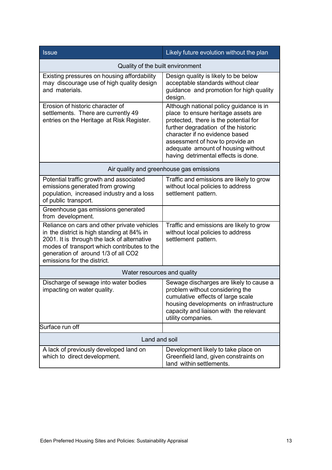| <b>Issue</b>                                                                                                                                                                                                                                                  | Likely future evolution without the plan                                                                                                                                                                                                                                                                         |  |  |
|---------------------------------------------------------------------------------------------------------------------------------------------------------------------------------------------------------------------------------------------------------------|------------------------------------------------------------------------------------------------------------------------------------------------------------------------------------------------------------------------------------------------------------------------------------------------------------------|--|--|
| Quality of the built environment                                                                                                                                                                                                                              |                                                                                                                                                                                                                                                                                                                  |  |  |
| Existing pressures on housing affordability<br>may discourage use of high quality design<br>and materials.                                                                                                                                                    | Design quality is likely to be below<br>acceptable standards without clear<br>guidance and promotion for high quality<br>design.                                                                                                                                                                                 |  |  |
| Erosion of historic character of<br>settlements. There are currently 49<br>entries on the Heritage at Risk Register.                                                                                                                                          | Although national policy guidance is in<br>place to ensure heritage assets are<br>protected, there is the potential for<br>further degradation of the historic<br>character if no evidence based<br>assessment of how to provide an<br>adequate amount of housing without<br>having detrimental effects is done. |  |  |
|                                                                                                                                                                                                                                                               | Air quality and greenhouse gas emissions                                                                                                                                                                                                                                                                         |  |  |
| Potential traffic growth and associated<br>emissions generated from growing<br>population, increased industry and a loss<br>of public transport.                                                                                                              | Traffic and emissions are likely to grow<br>without local policies to address<br>settlement pattern.                                                                                                                                                                                                             |  |  |
| Greenhouse gas emissions generated<br>from development.                                                                                                                                                                                                       |                                                                                                                                                                                                                                                                                                                  |  |  |
| Reliance on cars and other private vehicles<br>in the district is high standing at 84% in<br>2001. It is through the lack of alternative<br>modes of transport which contributes to the<br>generation of around 1/3 of all CO2<br>emissions for the district. | Traffic and emissions are likely to grow<br>without local policies to address<br>settlement pattern.                                                                                                                                                                                                             |  |  |
| Water resources and quality                                                                                                                                                                                                                                   |                                                                                                                                                                                                                                                                                                                  |  |  |
| Discharge of sewage into water bodies<br>impacting on water quality.                                                                                                                                                                                          | Sewage discharges are likely to cause a<br>problem without considering the<br>cumulative effects of large scale<br>housing developments on infrastructure<br>capacity and liaison with the relevant<br>utility companies.                                                                                        |  |  |
| Surface run off                                                                                                                                                                                                                                               |                                                                                                                                                                                                                                                                                                                  |  |  |
| Land and soil                                                                                                                                                                                                                                                 |                                                                                                                                                                                                                                                                                                                  |  |  |
| A lack of previously developed land on<br>which to direct development.                                                                                                                                                                                        | Development likely to take place on<br>Greenfield land, given constraints on<br>land within settlements.                                                                                                                                                                                                         |  |  |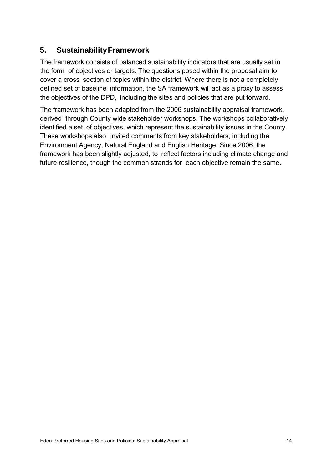# **5. Sustainability Framework**

The framework consists of balanced sustainability indicators that are usually set in the form of objectives or targets. The questions posed within the proposal aim to cover a cross section of topics within the district. Where there is not a completely defined set of baseline information, the SA framework will act as a proxy to assess the objectives of the DPD, including the sites and policies that are put forward.

The framework has been adapted from the 2006 sustainability appraisal framework, derived through County wide stakeholder workshops. The workshops collaboratively identified a set of objectives, which represent the sustainability issues in the County. These workshops also invited comments from key stakeholders, including the Environment Agency, Natural England and English Heritage. Since 2006, the framework has been slightly adjusted, to reflect factors including climate change and future resilience, though the common strands for each objective remain the same.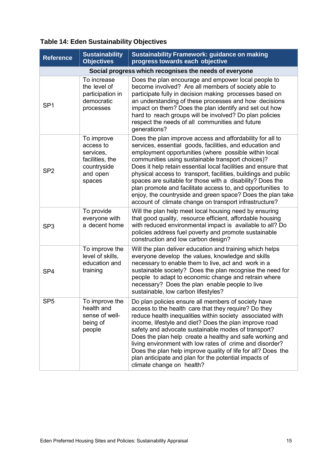# **Table 14: Eden Sustainability Objectives**

| <b>Reference</b>                                       | <b>Sustainability</b><br><b>Objectives</b>                                                   | <b>Sustainability Framework: guidance on making</b><br>progress towards each objective                                                                                                                                                                                                                                                                                                                                                                                                                                                                                                                                      |  |  |  |  |
|--------------------------------------------------------|----------------------------------------------------------------------------------------------|-----------------------------------------------------------------------------------------------------------------------------------------------------------------------------------------------------------------------------------------------------------------------------------------------------------------------------------------------------------------------------------------------------------------------------------------------------------------------------------------------------------------------------------------------------------------------------------------------------------------------------|--|--|--|--|
| Social progress which recognises the needs of everyone |                                                                                              |                                                                                                                                                                                                                                                                                                                                                                                                                                                                                                                                                                                                                             |  |  |  |  |
| SP <sub>1</sub>                                        | To increase<br>the level of<br>participation in<br>democratic<br>processes                   | Does the plan encourage and empower local people to<br>become involved? Are all members of society able to<br>participate fully in decision making processes based on<br>an understanding of these processes and how decisions<br>impact on them? Does the plan identify and set out how<br>hard to reach groups will be involved? Do plan policies<br>respect the needs of all communities and future<br>generations?                                                                                                                                                                                                      |  |  |  |  |
| SP <sub>2</sub>                                        | To improve<br>access to<br>services,<br>facilities, the<br>countryside<br>and open<br>spaces | Does the plan improve access and affordability for all to<br>services, essential goods, facilities, and education and<br>employment opportunities (where possible within local<br>communities using sustainable transport choices)?<br>Does it help retain essential local facilities and ensure that<br>physical access to transport, facilities, buildings and public<br>spaces are suitable for those with a disability? Does the<br>plan promote and facilitate access to, and opportunities to<br>enjoy, the countryside and green space? Does the plan take<br>account of climate change on transport infrastructure? |  |  |  |  |
| SP <sub>3</sub>                                        | To provide<br>everyone with<br>a decent home                                                 | Will the plan help meet local housing need by ensuring<br>that good quality, resource efficient, affordable housing<br>with reduced environmental impact is available to all? Do<br>policies address fuel poverty and promote sustainable<br>construction and low carbon design?                                                                                                                                                                                                                                                                                                                                            |  |  |  |  |
| SP <sub>4</sub>                                        | To improve the<br>level of skills,<br>education and<br>training                              | Will the plan deliver education and training which helps<br>everyone develop the values, knowledge and skills<br>necessary to enable them to live, act and work in a<br>sustainable society? Does the plan recognise the need for<br>people to adapt to economic change and retrain where<br>necessary? Does the plan enable people to live<br>sustainable, low carbon lifestyles?                                                                                                                                                                                                                                          |  |  |  |  |
| SP <sub>5</sub>                                        | To improve the<br>health and<br>sense of well-<br>being of<br>people                         | Do plan policies ensure all members of society have<br>access to the health care that they require? Do they<br>reduce health inequalities within society associated with<br>income, lifestyle and diet? Does the plan improve road<br>safety and advocate sustainable modes of transport?<br>Does the plan help create a healthy and safe working and<br>living environment with low rates of crime and disorder?<br>Does the plan help improve quality of life for all? Does the<br>plan anticipate and plan for the potential impacts of<br>climate change on health?                                                     |  |  |  |  |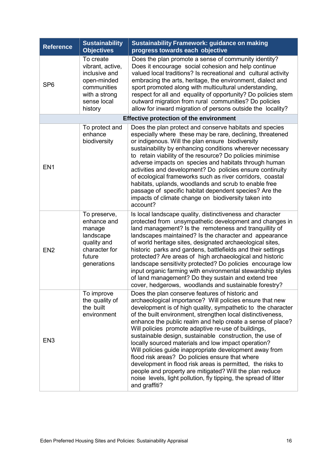| <b>Reference</b> | <b>Sustainability</b><br><b>Objectives</b>                                                                              | <b>Sustainability Framework: guidance on making</b><br>progress towards each objective                                                                                                                                                                                                                                                                                                                                                                                                                                                                                                                                                                                                                                                                                                                         |
|------------------|-------------------------------------------------------------------------------------------------------------------------|----------------------------------------------------------------------------------------------------------------------------------------------------------------------------------------------------------------------------------------------------------------------------------------------------------------------------------------------------------------------------------------------------------------------------------------------------------------------------------------------------------------------------------------------------------------------------------------------------------------------------------------------------------------------------------------------------------------------------------------------------------------------------------------------------------------|
| SP <sub>6</sub>  | To create<br>vibrant, active,<br>inclusive and<br>open-minded<br>communities<br>with a strong<br>sense local<br>history | Does the plan promote a sense of community identity?<br>Does it encourage social cohesion and help continue<br>valued local traditions? Is recreational and cultural activity<br>embracing the arts, heritage, the environment, dialect and<br>sport promoted along with multicultural understanding,<br>respect for all and equality of opportunity? Do policies stem<br>outward migration from rural communities? Do policies<br>allow for inward migration of persons outside the locality?                                                                                                                                                                                                                                                                                                                 |
|                  |                                                                                                                         | <b>Effective protection of the environment</b>                                                                                                                                                                                                                                                                                                                                                                                                                                                                                                                                                                                                                                                                                                                                                                 |
| EN <sub>1</sub>  | To protect and<br>enhance<br>biodiversity                                                                               | Does the plan protect and conserve habitats and species<br>especially where these may be rare, declining, threatened<br>or indigenous. Will the plan ensure biodiversity<br>sustainability by enhancing conditions wherever necessary<br>to retain viability of the resource? Do policies minimise<br>adverse impacts on species and habitats through human<br>activities and development? Do policies ensure continuity<br>of ecological frameworks such as river corridors, coastal<br>habitats, uplands, woodlands and scrub to enable free<br>passage of specific habitat dependent species? Are the<br>impacts of climate change on biodiversity taken into<br>account?                                                                                                                                   |
| EN <sub>2</sub>  | To preserve,<br>enhance and<br>manage<br>landscape<br>quality and<br>character for<br>future<br>generations             | Is local landscape quality, distinctiveness and character<br>protected from unsympathetic development and changes in<br>land management? Is the remoteness and tranquillity of<br>landscapes maintained? Is the character and appearance<br>of world heritage sites, designated archaeological sites,<br>historic parks and gardens, battlefields and their settings<br>protected? Are areas of high archaeological and historic<br>landscape sensitivity protected? Do policies encourage low<br>input organic farming with environmental stewardship styles<br>of land management? Do they sustain and extend tree<br>cover, hedgerows, woodlands and sustainable forestry?                                                                                                                                  |
| EN <sub>3</sub>  | To improve<br>the quality of<br>the built<br>environment                                                                | Does the plan conserve features of historic and<br>archaeological importance? Will policies ensure that new<br>development is of high quality, sympathetic to the character<br>of the built environment, strengthen local distinctiveness,<br>enhance the public realm and help create a sense of place?<br>Will policies promote adaptive re-use of buildings,<br>sustainable design, sustainable construction, the use of<br>locally sourced materials and low impact operation?<br>Will policies guide inappropriate development away from<br>flood risk areas? Do policies ensure that where<br>development in flood risk areas is permitted, the risks to<br>people and property are mitigated? Will the plan reduce<br>noise levels, light pollution, fly tipping, the spread of litter<br>and graffiti? |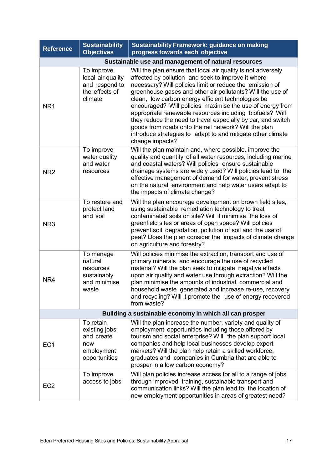| <b>Reference</b>                                                                 | <b>Sustainability</b><br><b>Objectives</b>                                     | Sustainability Framework: guidance on making<br>progress towards each objective                                                                                                                                                                                                                                                                                                                                                                                                                                                                                                                                                        |  |  |  |  |  |
|----------------------------------------------------------------------------------|--------------------------------------------------------------------------------|----------------------------------------------------------------------------------------------------------------------------------------------------------------------------------------------------------------------------------------------------------------------------------------------------------------------------------------------------------------------------------------------------------------------------------------------------------------------------------------------------------------------------------------------------------------------------------------------------------------------------------------|--|--|--|--|--|
| Sustainable use and management of natural resources                              |                                                                                |                                                                                                                                                                                                                                                                                                                                                                                                                                                                                                                                                                                                                                        |  |  |  |  |  |
| NR <sub>1</sub>                                                                  | To improve<br>local air quality<br>and respond to<br>the effects of<br>climate | Will the plan ensure that local air quality is not adversely<br>affected by pollution and seek to improve it where<br>necessary? Will policies limit or reduce the emission of<br>greenhouse gases and other air pollutants? Will the use of<br>clean, low carbon energy efficient technologies be<br>encouraged? Will policies maximise the use of energy from<br>appropriate renewable resources including biofuels? Will<br>they reduce the need to travel especially by car, and switch<br>goods from roads onto the rail network? Will the plan<br>introduce strategies to adapt to and mitigate other climate<br>change impacts? |  |  |  |  |  |
| NR <sub>2</sub>                                                                  | To improve<br>water quality<br>and water<br>resources                          | Will the plan maintain and, where possible, improve the<br>quality and quantity of all water resources, including marine<br>and coastal waters? Will policies ensure sustainable<br>drainage systems are widely used? Will policies lead to the<br>effective management of demand for water, prevent stress<br>on the natural environment and help water users adapt to<br>the impacts of climate change?                                                                                                                                                                                                                              |  |  |  |  |  |
| NR <sub>3</sub>                                                                  | To restore and<br>protect land<br>and soil                                     | Will the plan encourage development on brown field sites,<br>using sustainable remediation technology to treat<br>contaminated soils on site? Will it minimise the loss of<br>greenfield sites or areas of open space? Will policies<br>prevent soil degradation, pollution of soil and the use of<br>peat? Does the plan consider the impacts of climate change<br>on agriculture and forestry?                                                                                                                                                                                                                                       |  |  |  |  |  |
| To manage<br>natural<br>resources<br>sustainably<br>NR4<br>and minimise<br>waste |                                                                                | Will policies minimise the extraction, transport and use of<br>primary minerals and encourage the use of recycled<br>material? Will the plan seek to mitigate negative effects<br>upon air quality and water use through extraction? Will the<br>plan minimise the amounts of industrial, commercial and<br>household waste generated and increase re-use, recovery<br>and recycling? Will it promote the use of energy recovered<br>from waste?                                                                                                                                                                                       |  |  |  |  |  |
|                                                                                  |                                                                                | Building a sustainable economy in which all can prosper                                                                                                                                                                                                                                                                                                                                                                                                                                                                                                                                                                                |  |  |  |  |  |
| EC <sub>1</sub>                                                                  | To retain<br>existing jobs<br>and create<br>new<br>employment<br>opportunities | Will the plan increase the number, variety and quality of<br>employment opportunities including those offered by<br>tourism and social enterprise? Will the plan support local<br>companies and help local businesses develop export<br>markets? Will the plan help retain a skilled workforce,<br>graduates and companies in Cumbria that are able to<br>prosper in a low carbon economy?                                                                                                                                                                                                                                             |  |  |  |  |  |
| EC <sub>2</sub>                                                                  | To improve<br>access to jobs                                                   | Will plan policies increase access for all to a range of jobs<br>through improved training, sustainable transport and<br>communication links? Will the plan lead to the location of<br>new employment opportunities in areas of greatest need?                                                                                                                                                                                                                                                                                                                                                                                         |  |  |  |  |  |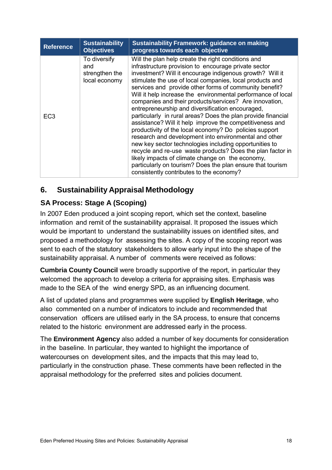| <b>Reference</b> | <b>Sustainability</b><br><b>Objectives</b>             | <b>Sustainability Framework: guidance on making</b><br>progress towards each objective                                                                                                                                                                                                                                                                                                                                                                                                                                                                                                                                                                                                                                                                                                                                                                                                                                                                                                                          |
|------------------|--------------------------------------------------------|-----------------------------------------------------------------------------------------------------------------------------------------------------------------------------------------------------------------------------------------------------------------------------------------------------------------------------------------------------------------------------------------------------------------------------------------------------------------------------------------------------------------------------------------------------------------------------------------------------------------------------------------------------------------------------------------------------------------------------------------------------------------------------------------------------------------------------------------------------------------------------------------------------------------------------------------------------------------------------------------------------------------|
| EC <sub>3</sub>  | To diversify<br>and<br>strengthen the<br>local economy | Will the plan help create the right conditions and<br>infrastructure provision to encourage private sector<br>investment? Will it encourage indigenous growth? Will it<br>stimulate the use of local companies, local products and<br>services and provide other forms of community benefit?<br>Will it help increase the environmental performance of local<br>companies and their products/services? Are innovation,<br>entrepreneurship and diversification encouraged,<br>particularly in rural areas? Does the plan provide financial<br>assistance? Will it help improve the competitiveness and<br>productivity of the local economy? Do policies support<br>research and development into environmental and other<br>new key sector technologies including opportunities to<br>recycle and re-use waste products? Does the plan factor in<br>likely impacts of climate change on the economy,<br>particularly on tourism? Does the plan ensure that tourism<br>consistently contributes to the economy? |

# **6. Sustainability Appraisal Methodology**

# **SA Process: Stage A (Scoping)**

In 2007 Eden produced a joint scoping report, which set the context, baseline information and remit of the sustainability appraisal. It proposed the issues which would be important to understand the sustainability issues on identified sites, and proposed a methodology for assessing the sites. A copy of the scoping report was sent to each of the statutory stakeholders to allow early input into the shape of the sustainability appraisal. A number of comments were received as follows:

**Cumbria County Council** were broadly supportive of the report, in particular they welcomed the approach to develop a criteria for appraising sites. Emphasis was made to the SEA of the wind energy SPD, as an influencing document.

A list of updated plans and programmes were supplied by **English Heritage**, who also commented on a number of indicators to include and recommended that conservation officers are utilised early in the SA process, to ensure that concerns related to the historic environment are addressed early in the process.

The **Environment Agency** also added a number of key documents for consideration in the baseline. In particular, they wanted to highlight the importance of watercourses on development sites, and the impacts that this may lead to, particularly in the construction phase. These comments have been reflected in the appraisal methodology for the preferred sites and policies document.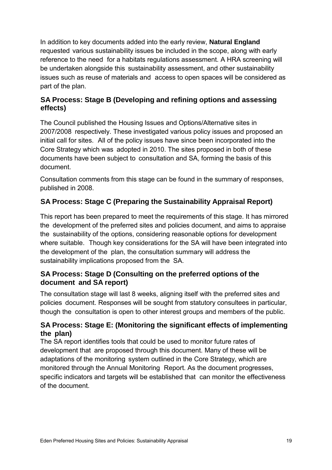In addition to key documents added into the early review, **Natural England**  requested various sustainability issues be included in the scope, along with early reference to the need for a habitats regulations assessment. A HRA screening will be undertaken alongside this sustainability assessment, and other sustainability issues such as reuse of materials and access to open spaces will be considered as part of the plan.

# **SA Process: Stage B (Developing and refining options and assessing effects)**

The Council published the Housing Issues and Options/Alternative sites in 2007/2008 respectively. These investigated various policy issues and proposed an initial call for sites. All of the policy issues have since been incorporated into the Core Strategy which was adopted in 2010. The sites proposed in both of these documents have been subject to consultation and SA, forming the basis of this document.

Consultation comments from this stage can be found in the summary of responses, published in 2008.

# **SA Process: Stage C (Preparing the Sustainability Appraisal Report)**

This report has been prepared to meet the requirements of this stage. It has mirrored the development of the preferred sites and policies document, and aims to appraise the sustainability of the options, considering reasonable options for development where suitable. Though key considerations for the SA will have been integrated into the development of the plan, the consultation summary will address the sustainability implications proposed from the SA.

## **SA Process: Stage D (Consulting on the preferred options of the document and SA report)**

The consultation stage will last 8 weeks, aligning itself with the preferred sites and policies document. Responses will be sought from statutory consultees in particular, though the consultation is open to other interest groups and members of the public.

# **SA Process: Stage E: (Monitoring the significant effects of implementing the plan)**

The SA report identifies tools that could be used to monitor future rates of development that are proposed through this document. Many of these will be adaptations of the monitoring system outlined in the Core Strategy, which are monitored through the Annual Monitoring Report. As the document progresses, specific indicators and targets will be established that can monitor the effectiveness of the document.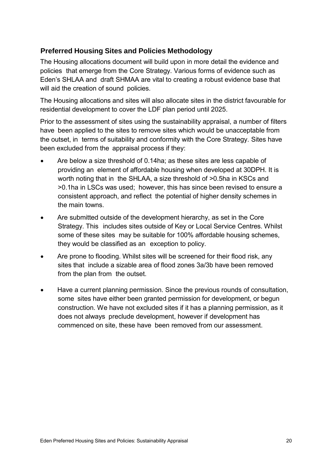# **Preferred Housing Sites and Policies Methodology**

The Housing allocations document will build upon in more detail the evidence and policies that emerge from the Core Strategy. Various forms of evidence such as Eden's SHLAA and draft SHMAA are vital to creating a robust evidence base that will aid the creation of sound policies.

The Housing allocations and sites will also allocate sites in the district favourable for residential development to cover the LDF plan period until 2025.

Prior to the assessment of sites using the sustainability appraisal, a number of filters have been applied to the sites to remove sites which would be unacceptable from the outset, in terms of suitability and conformity with the Core Strategy. Sites have been excluded from the appraisal process if they:

- Are below a size threshold of 0.14ha; as these sites are less capable of providing an element of affordable housing when developed at 30DPH. It is worth noting that in the SHLAA, a size threshold of >0.5ha in KSCs and >0.1ha in LSCs was used; however, this has since been revised to ensure a consistent approach, and reflect the potential of higher density schemes in the main towns.
- Are submitted outside of the development hierarchy, as set in the Core Strategy. This includes sites outside of Key or Local Service Centres. Whilst some of these sites may be suitable for 100% affordable housing schemes, they would be classified as an exception to policy.
- Are prone to flooding. Whilst sites will be screened for their flood risk, any sites that include a sizable area of flood zones 3a/3b have been removed from the plan from the outset.
- Have a current planning permission. Since the previous rounds of consultation, some sites have either been granted permission for development, or begun construction. We have not excluded sites if it has a planning permission, as it does not always preclude development, however if development has commenced on site, these have been removed from our assessment.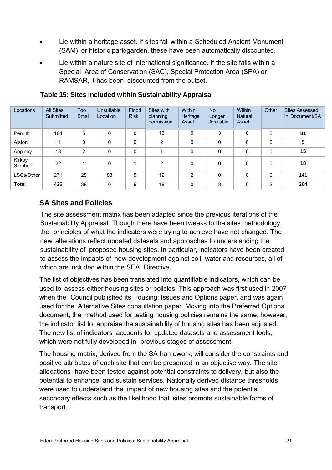- Lie within a heritage asset. If sites fall within a Scheduled Ancient Monument (SAM) or historic park/garden, these have been automatically discounted.
- Lie within a nature site of International significance. If the site falls within a Special Area of Conservation (SAC), Special Protection Area (SPA) or RAMSAR, it has been discounted from the outset.

| Locations         | <b>All Sites</b><br>Submitted | <b>Too</b><br>Small | Unsuitable<br>Location | Flood<br><b>Risk</b> | Sites with<br>planning<br>permission | Within<br>Heritage<br>Asset | <b>No</b><br>Longer<br>Available | Within<br><b>Natural</b><br>Asset | Other        | <b>Sites Assessed</b><br>in Document/SA |
|-------------------|-------------------------------|---------------------|------------------------|----------------------|--------------------------------------|-----------------------------|----------------------------------|-----------------------------------|--------------|-----------------------------------------|
| Penrith           | 104                           | 5                   | 0                      | 0                    | 13                                   | 0                           | 3                                | 0                                 | 2            | 81                                      |
| Alston            | 11                            | $\mathbf 0$         | 0                      | 0                    | $\overline{2}$                       | 0                           | 0                                | 0                                 | $\mathbf{0}$ | 9                                       |
| Appleby           | 18                            | $\overline{2}$      | 0                      | 0                    |                                      | 0                           | 0                                | $\mathbf 0$                       | 0            | 15                                      |
| Kirkby<br>Stephen | 22                            |                     | 0                      |                      | $\overline{2}$                       | 0                           | $\mathbf{0}$                     | $\Omega$                          | 0            | 18                                      |
| LSCs/Other        | 271                           | 28                  | 83                     | 5                    | 12                                   | 2                           | $\mathbf{0}$                     | 0                                 | $\Omega$     | 141                                     |
| <b>Total</b>      | 426                           | 38                  | 0                      | 6                    | 18                                   | 0                           | 3                                | $\mathbf 0$                       | 2            | 264                                     |

#### **Table 15: Sites included within Sustainability Appraisal**

# **SA Sites and Policies**

The site assessment matrix has been adapted since the previous iterations of the Sustainability Appraisal. Though there have been tweaks to the sites methodology, the principles of what the indicators were trying to achieve have not changed. The new alterations reflect updated datasets and approaches to understanding the sustainability of proposed housing sites. In particular, indicators have been created to assess the impacts of new development against soil, water and resources, all of which are included within the SEA Directive.

The list of objectives has been translated into quantifiable indicators, which can be used to assess either housing sites or policies. This approach was first used in 2007 when the Council published its Housing: Issues and Options paper, and was again used for the Alternative Sites consultation paper. Moving into the Preferred Options document, the method used for testing housing policies remains the same, however, the indicator list to appraise the sustainability of housing sites has been adjusted. The new list of indicators accounts for updated datasets and assessment tools, which were not fully developed in previous stages of assessment.

The housing matrix, derived from the SA framework, will consider the constraints and positive attributes of each site that can be presented in an objective way. The site allocations have been tested against potential constraints to delivery, but also the potential to enhance and sustain services. Nationally derived distance thresholds were used to understand the impact of new housing sites and the potential secondary effects such as the likelihood that sites promote sustainable forms of transport.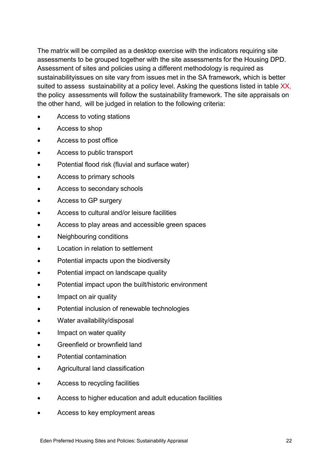The matrix will be compiled as a desktop exercise with the indicators requiring site assessments to be grouped together with the site assessments for the Housing DPD. Assessment of sites and policies using a different methodology is required as sustainabilityissues on site vary from issues met in the SA framework, which is better suited to assess sustainability at a policy level. Asking the questions listed in table XX, the policy assessments will follow the sustainability framework. The site appraisals on the other hand, will be judged in relation to the following criteria:

- Access to voting stations
- Access to shop
- Access to post office
- Access to public transport
- Potential flood risk (fluvial and surface water)
- Access to primary schools
- Access to secondary schools
- Access to GP surgery
- Access to cultural and/or leisure facilities
- Access to play areas and accessible green spaces
- Neighbouring conditions
- Location in relation to settlement
- Potential impacts upon the biodiversity
- Potential impact on landscape quality
- Potential impact upon the built/historic environment
- Impact on air quality
- Potential inclusion of renewable technologies
- Water availability/disposal
- Impact on water quality
- Greenfield or brownfield land
- Potential contamination
- Agricultural land classification
- Access to recycling facilities
- Access to higher education and adult education facilities
- Access to key employment areas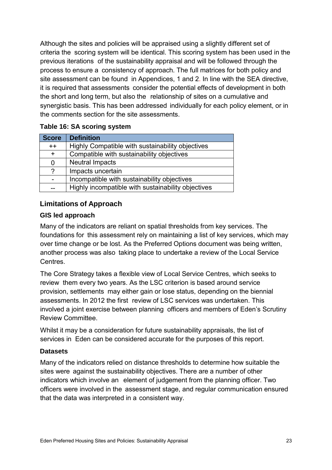Although the sites and policies will be appraised using a slightly different set of criteria the scoring system will be identical. This scoring system has been used in the previous iterations of the sustainability appraisal and will be followed through the process to ensure a consistency of approach. The full matrices for both policy and site assessment can be found in Appendices, 1 and 2. In line with the SEA directive, it is required that assessments consider the potential effects of development in both the short and long term, but also the relationship of sites on a cumulative and synergistic basis. This has been addressed individually for each policy element, or in the comments section for the site assessments.

#### **Table 16: SA scoring system**

| <b>Score</b> | <b>Definition</b>                                  |
|--------------|----------------------------------------------------|
| $++$         | Highly Compatible with sustainability objectives   |
| $+$          | Compatible with sustainability objectives          |
| 0            | <b>Neutral Impacts</b>                             |
| ?            | Impacts uncertain                                  |
|              | Incompatible with sustainability objectives        |
|              | Highly incompatible with sustainability objectives |

#### **Limitations of Approach**

#### **GIS led approach**

Many of the indicators are reliant on spatial thresholds from key services. The foundations for this assessment rely on maintaining a list of key services, which may over time change or be lost. As the Preferred Options document was being written, another process was also taking place to undertake a review of the Local Service **Centres** 

The Core Strategy takes a flexible view of Local Service Centres, which seeks to review them every two years. As the LSC criterion is based around service provision, settlements may either gain or lose status, depending on the biennial assessments. In 2012 the first review of LSC services was undertaken. This involved a joint exercise between planning officers and members of Eden's Scrutiny Review Committee.

Whilst it may be a consideration for future sustainability appraisals, the list of services in Eden can be considered accurate for the purposes of this report.

#### **Datasets**

Many of the indicators relied on distance thresholds to determine how suitable the sites were against the sustainability objectives. There are a number of other indicators which involve an element of judgement from the planning officer. Two officers were involved in the assessment stage, and regular communication ensured that the data was interpreted in a consistent way.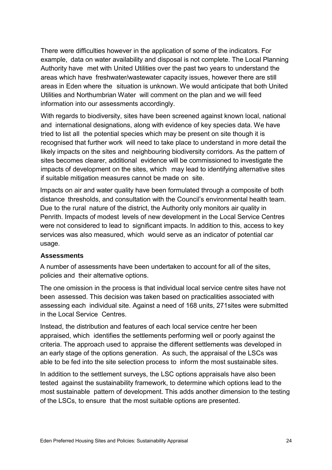There were difficulties however in the application of some of the indicators. For example, data on water availability and disposal is not complete. The Local Planning Authority have met with United Utilities over the past two years to understand the areas which have freshwater/wastewater capacity issues, however there are still areas in Eden where the situation is unknown. We would anticipate that both United Utilities and Northumbrian Water will comment on the plan and we will feed information into our assessments accordingly.

With regards to biodiversity, sites have been screened against known local, national and international designations, along with evidence of key species data. We have tried to list all the potential species which may be present on site though it is recognised that further work will need to take place to understand in more detail the likely impacts on the sites and neighbouring biodiversity corridors. As the pattern of sites becomes clearer, additional evidence will be commissioned to investigate the impacts of development on the sites, which may lead to identifying alternative sites if suitable mitigation measures cannot be made on site.

Impacts on air and water quality have been formulated through a composite of both distance thresholds, and consultation with the Council's environmental health team. Due to the rural nature of the district, the Authority only monitors air quality in Penrith. Impacts of modest levels of new development in the Local Service Centres were not considered to lead to significant impacts. In addition to this, access to key services was also measured, which would serve as an indicator of potential car usage.

#### **Assessments**

A number of assessments have been undertaken to account for all of the sites, policies and their alternative options.

The one omission in the process is that individual local service centre sites have not been assessed. This decision was taken based on practicalities associated with assessing each individual site. Against a need of 168 units, 271sites were submitted in the Local Service Centres.

Instead, the distribution and features of each local service centre her been appraised, which identifies the settlements performing well or poorly against the criteria. The approach used to appraise the different settlements was developed in an early stage of the options generation. As such, the appraisal of the LSCs was able to be fed into the site selection process to inform the most sustainable sites.

In addition to the settlement surveys, the LSC options appraisals have also been tested against the sustainability framework, to determine which options lead to the most sustainable pattern of development. This adds another dimension to the testing of the LSCs, to ensure that the most suitable options are presented.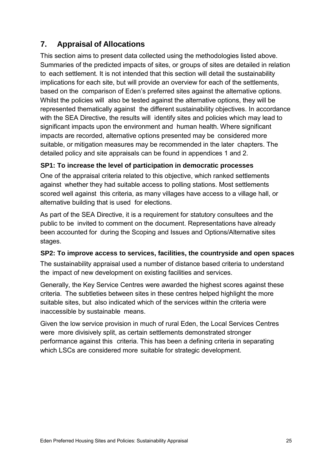# **7. Appraisal of Allocations**

This section aims to present data collected using the methodologies listed above. Summaries of the predicted impacts of sites, or groups of sites are detailed in relation to each settlement. It is not intended that this section will detail the sustainability implications for each site, but will provide an overview for each of the settlements, based on the comparison of Eden's preferred sites against the alternative options. Whilst the policies will also be tested against the alternative options, they will be represented thematically against the different sustainability objectives. In accordance with the SEA Directive, the results will identify sites and policies which may lead to significant impacts upon the environment and human health. Where significant impacts are recorded, alternative options presented may be considered more suitable, or mitigation measures may be recommended in the later chapters. The detailed policy and site appraisals can be found in appendices 1 and 2.

#### **SP1: To increase the level of participation in democratic processes**

One of the appraisal criteria related to this objective, which ranked settlements against whether they had suitable access to polling stations. Most settlements scored well against this criteria, as many villages have access to a village hall, or alternative building that is used for elections.

As part of the SEA Directive, it is a requirement for statutory consultees and the public to be invited to comment on the document. Representations have already been accounted for during the Scoping and Issues and Options/Alternative sites stages.

#### **SP2: To improve access to services, facilities, the countryside and open spaces**

The sustainability appraisal used a number of distance based criteria to understand the impact of new development on existing facilities and services.

Generally, the Key Service Centres were awarded the highest scores against these criteria. The subtleties between sites in these centres helped highlight the more suitable sites, but also indicated which of the services within the criteria were inaccessible by sustainable means.

Given the low service provision in much of rural Eden, the Local Services Centres were more divisively split, as certain settlements demonstrated stronger performance against this criteria. This has been a defining criteria in separating which LSCs are considered more suitable for strategic development.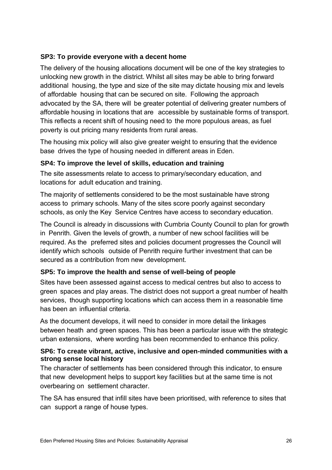#### **SP3: To provide everyone with a decent home**

The delivery of the housing allocations document will be one of the key strategies to unlocking new growth in the district. Whilst all sites may be able to bring forward additional housing, the type and size of the site may dictate housing mix and levels of affordable housing that can be secured on site. Following the approach advocated by the SA, there will be greater potential of delivering greater numbers of affordable housing in locations that are accessible by sustainable forms of transport. This reflects a recent shift of housing need to the more populous areas, as fuel poverty is out pricing many residents from rural areas.

The housing mix policy will also give greater weight to ensuring that the evidence base drives the type of housing needed in different areas in Eden.

#### **SP4: To improve the level of skills, education and training**

The site assessments relate to access to primary/secondary education, and locations for adult education and training.

The majority of settlements considered to be the most sustainable have strong access to primary schools. Many of the sites score poorly against secondary schools, as only the Key Service Centres have access to secondary education.

The Council is already in discussions with Cumbria County Council to plan for growth in Penrith. Given the levels of growth, a number of new school facilities will be required. As the preferred sites and policies document progresses the Council will identify which schools outside of Penrith require further investment that can be secured as a contribution from new development.

## **SP5: To improve the health and sense of well-being of people**

Sites have been assessed against access to medical centres but also to access to green spaces and play areas. The district does not support a great number of health services, though supporting locations which can access them in a reasonable time has been an influential criteria.

As the document develops, it will need to consider in more detail the linkages between heath and green spaces. This has been a particular issue with the strategic urban extensions, where wording has been recommended to enhance this policy.

#### **SP6: To create vibrant, active, inclusive and open-minded communities with a strong sense local history**

The character of settlements has been considered through this indicator, to ensure that new development helps to support key facilities but at the same time is not overbearing on settlement character.

The SA has ensured that infill sites have been prioritised, with reference to sites that can support a range of house types.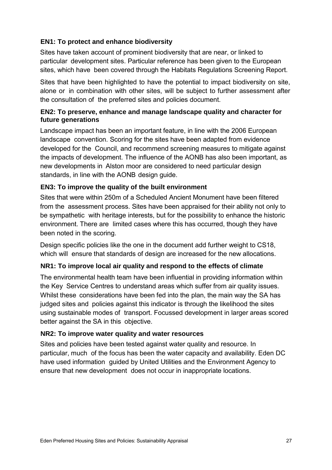#### **EN1: To protect and enhance biodiversity**

Sites have taken account of prominent biodiversity that are near, or linked to particular development sites. Particular reference has been given to the European sites, which have been covered through the Habitats Regulations Screening Report.

Sites that have been highlighted to have the potential to impact biodiversity on site, alone or in combination with other sites, will be subject to further assessment after the consultation of the preferred sites and policies document.

#### **EN2: To preserve, enhance and manage landscape quality and character for future generations**

Landscape impact has been an important feature, in line with the 2006 European landscape convention. Scoring for the sites have been adapted from evidence developed for the Council, and recommend screening measures to mitigate against the impacts of development. The influence of the AONB has also been important, as new developments in Alston moor are considered to need particular design standards, in line with the AONB design guide.

#### **EN3: To improve the quality of the built environment**

Sites that were within 250m of a Scheduled Ancient Monument have been filtered from the assessment process. Sites have been appraised for their ability not only to be sympathetic with heritage interests, but for the possibility to enhance the historic environment. There are limited cases where this has occurred, though they have been noted in the scoring.

Design specific policies like the one in the document add further weight to CS18, which will ensure that standards of design are increased for the new allocations.

#### **NR1: To improve local air quality and respond to the effects of climate**

The environmental health team have been influential in providing information within the Key Service Centres to understand areas which suffer from air quality issues. Whilst these considerations have been fed into the plan, the main way the SA has judged sites and policies against this indicator is through the likelihood the sites using sustainable modes of transport. Focussed development in larger areas scored better against the SA in this objective.

#### **NR2: To improve water quality and water resources**

Sites and policies have been tested against water quality and resource. In particular, much of the focus has been the water capacity and availability. Eden DC have used information guided by United Utilities and the Environment Agency to ensure that new development does not occur in inappropriate locations.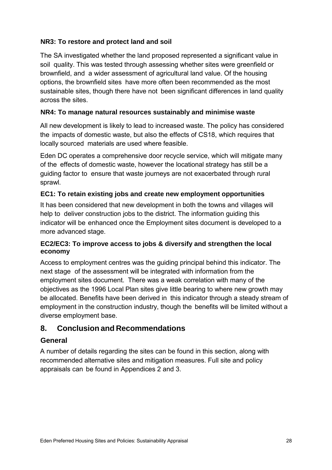### **NR3: To restore and protect land and soil**

The SA investigated whether the land proposed represented a significant value in soil quality. This was tested through assessing whether sites were greenfield or brownfield, and a wider assessment of agricultural land value. Of the housing options, the brownfield sites have more often been recommended as the most sustainable sites, though there have not been significant differences in land quality across the sites.

#### **NR4: To manage natural resources sustainably and minimise waste**

All new development is likely to lead to increased waste. The policy has considered the impacts of domestic waste, but also the effects of CS18, which requires that locally sourced materials are used where feasible.

Eden DC operates a comprehensive door recycle service, which will mitigate many of the effects of domestic waste, however the locational strategy has still be a guiding factor to ensure that waste journeys are not exacerbated through rural sprawl.

#### **EC1: To retain existing jobs and create new employment opportunities**

It has been considered that new development in both the towns and villages will help to deliver construction jobs to the district. The information guiding this indicator will be enhanced once the Employment sites document is developed to a more advanced stage.

#### **EC2/EC3: To improve access to jobs & diversify and strengthen the local economy**

Access to employment centres was the guiding principal behind this indicator. The next stage of the assessment will be integrated with information from the employment sites document. There was a weak correlation with many of the objectives as the 1996 Local Plan sites give little bearing to where new growth may be allocated. Benefits have been derived in this indicator through a steady stream of employment in the construction industry, though the benefits will be limited without a diverse employment base.

# **8. Conclusion and Recommendations**

## **General**

A number of details regarding the sites can be found in this section, along with recommended alternative sites and mitigation measures. Full site and policy appraisals can be found in Appendices 2 and 3.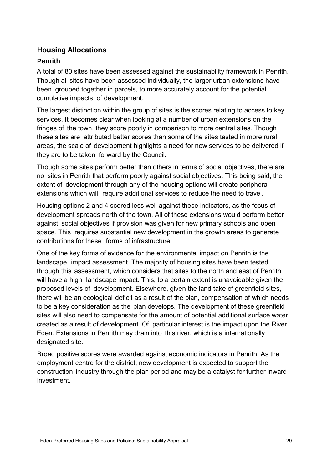### **Housing Allocations**

#### **Penrith**

A total of 80 sites have been assessed against the sustainability framework in Penrith. Though all sites have been assessed individually, the larger urban extensions have been grouped together in parcels, to more accurately account for the potential cumulative impacts of development.

The largest distinction within the group of sites is the scores relating to access to key services. It becomes clear when looking at a number of urban extensions on the fringes of the town, they score poorly in comparison to more central sites. Though these sites are attributed better scores than some of the sites tested in more rural areas, the scale of development highlights a need for new services to be delivered if they are to be taken forward by the Council.

Though some sites perform better than others in terms of social objectives, there are no sites in Penrith that perform poorly against social objectives. This being said, the extent of development through any of the housing options will create peripheral extensions which will require additional services to reduce the need to travel.

Housing options 2 and 4 scored less well against these indicators, as the focus of development spreads north of the town. All of these extensions would perform better against social objectives if provision was given for new primary schools and open space. This requires substantial new development in the growth areas to generate contributions for these forms of infrastructure.

One of the key forms of evidence for the environmental impact on Penrith is the landscape impact assessment. The majority of housing sites have been tested through this assessment, which considers that sites to the north and east of Penrith will have a high landscape impact. This, to a certain extent is unavoidable given the proposed levels of development. Elsewhere, given the land take of greenfield sites, there will be an ecological deficit as a result of the plan, compensation of which needs to be a key consideration as the plan develops. The development of these greenfield sites will also need to compensate for the amount of potential additional surface water created as a result of development. Of particular interest is the impact upon the River Eden. Extensions in Penrith may drain into this river, which is a internationally designated site.

Broad positive scores were awarded against economic indicators in Penrith. As the employment centre for the district, new development is expected to support the construction industry through the plan period and may be a catalyst for further inward investment.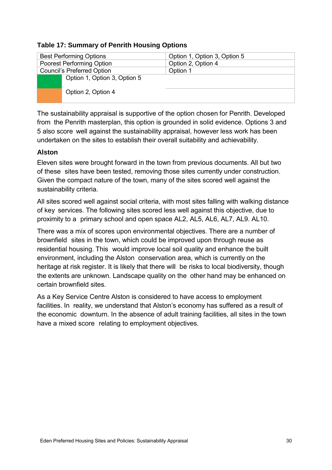| <b>Best Performing Options</b>   |                                   | Option 1, Option 3, Option 5 |  |
|----------------------------------|-----------------------------------|------------------------------|--|
| <b>Poorest Performing Option</b> |                                   | Option 2, Option 4           |  |
|                                  | <b>Council's Preferred Option</b> | Option 1                     |  |
|                                  | Option 1, Option 3, Option 5      |                              |  |
|                                  |                                   |                              |  |
|                                  | Option 2, Option 4                |                              |  |
|                                  |                                   |                              |  |

#### **Table 17: Summary of Penrith Housing Options**

The sustainability appraisal is supportive of the option chosen for Penrith. Developed from the Penrith masterplan, this option is grounded in solid evidence. Options 3 and 5 also score well against the sustainability appraisal, however less work has been undertaken on the sites to establish their overall suitability and achievability.

#### **Alston**

Eleven sites were brought forward in the town from previous documents. All but two of these sites have been tested, removing those sites currently under construction. Given the compact nature of the town, many of the sites scored well against the sustainability criteria.

All sites scored well against social criteria, with most sites falling with walking distance of key services. The following sites scored less well against this objective, due to proximity to a primary school and open space AL2, AL5, AL6, AL7, AL9. AL10.

There was a mix of scores upon environmental objectives. There are a number of brownfield sites in the town, which could be improved upon through reuse as residential housing. This would improve local soil quality and enhance the built environment, including the Alston conservation area, which is currently on the heritage at risk register. It is likely that there will be risks to local biodiversity, though the extents are unknown. Landscape quality on the other hand may be enhanced on certain brownfield sites.

As a Key Service Centre Alston is considered to have access to employment facilities. In reality, we understand that Alston's economy has suffered as a result of the economic downturn. In the absence of adult training facilities, all sites in the town have a mixed score relating to employment objectives.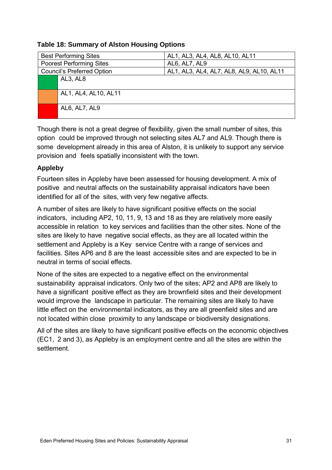| <b>Best Performing Sites</b>    |                                   | AL1, AL3, AL4, AL8, AL10, AL11           |  |  |
|---------------------------------|-----------------------------------|------------------------------------------|--|--|
| <b>Poorest Performing Sites</b> |                                   | AL6, AL7, AL9                            |  |  |
|                                 | <b>Council's Preferred Option</b> | AL1, AL3, AL4, AL7, AL8, AL9, AL10, AL11 |  |  |
|                                 | AL3, AL8                          |                                          |  |  |
|                                 |                                   |                                          |  |  |
|                                 | AL1, AL4, AL10, AL11              |                                          |  |  |
|                                 |                                   |                                          |  |  |
|                                 | AL6, AL7, AL9                     |                                          |  |  |
|                                 |                                   |                                          |  |  |

#### **Table 18: Summary of Alston Housing Options**

Though there is not a great degree of flexibility, given the small number of sites, this option could be improved through not selecting sites AL7 and AL9. Though there is some development already in this area of Alston, it is unlikely to support any service provision and feels spatially inconsistent with the town.

#### **Appleby**

Fourteen sites in Appleby have been assessed for housing development. A mix of positive and neutral affects on the sustainability appraisal indicators have been identified for all of the sites, with very few negative affects.

A number of sites are likely to have significant positive effects on the social indicators, including AP2, 10, 11, 9, 13 and 18 as they are relatively more easily accessible in relation to key services and facilities than the other sites. None of the sites are likely to have negative social effects, as they are all located within the settlement and Appleby is a Key service Centre with a range of services and facilities. Sites AP6 and 8 are the least accessible sites and are expected to be in neutral in terms of social effects.

None of the sites are expected to a negative effect on the environmental sustainability appraisal indicators. Only two of the sites; AP2 and AP8 are likely to have a significant positive effect as they are brownfield sites and their development would improve the landscape in particular. The remaining sites are likely to have little effect on the environmental indicators, as they are all greenfield sites and are not located within close proximity to any landscape or biodiversity designations.

All of the sites are likely to have significant positive effects on the economic objectives (EC1, 2 and 3), as Appleby is an employment centre and all the sites are within the settlement.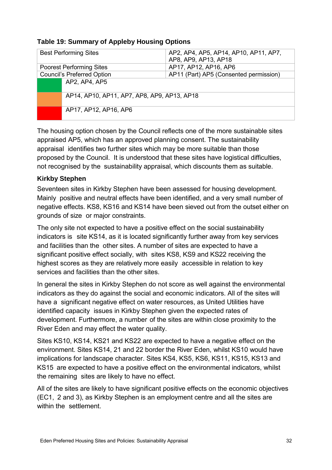#### **Table 19: Summary of Appleby Housing Options**

| <b>Best Performing Sites</b>    |                                             | AP2, AP4, AP5, AP14, AP10, AP11, AP7,<br>AP8, AP9, AP13, AP18 |  |
|---------------------------------|---------------------------------------------|---------------------------------------------------------------|--|
| <b>Poorest Performing Sites</b> |                                             | AP17, AP12, AP16, AP6                                         |  |
|                                 | <b>Council's Preferred Option</b>           | AP11 (Part) AP5 (Consented permission)                        |  |
|                                 | AP2, AP4, AP5                               |                                                               |  |
|                                 | AP14, AP10, AP11, AP7, AP8, AP9, AP13, AP18 |                                                               |  |
|                                 | AP17, AP12, AP16, AP6                       |                                                               |  |

The housing option chosen by the Council reflects one of the more sustainable sites appraised AP5, which has an approved planning consent. The sustainability appraisal identifies two further sites which may be more suitable than those proposed by the Council. It is understood that these sites have logistical difficulties, not recognised by the sustainability appraisal, which discounts them as suitable.

#### **Kirkby Stephen**

Seventeen sites in Kirkby Stephen have been assessed for housing development. Mainly positive and neutral effects have been identified, and a very small number of negative effects. KS8, KS16 and KS14 have been sieved out from the outset either on grounds of size or major constraints.

The only site not expected to have a positive effect on the social sustainability indicators is site KS14, as it is located significantly further away from key services and facilities than the other sites. A number of sites are expected to have a significant positive effect socially, with sites KS8, KS9 and KS22 receiving the highest scores as they are relatively more easily accessible in relation to key services and facilities than the other sites.

In general the sites in Kirkby Stephen do not score as well against the environmental indicators as they do against the social and economic indicators. All of the sites will have a significant negative effect on water resources, as United Utilities have identified capacity issues in Kirkby Stephen given the expected rates of development. Furthermore, a number of the sites are within close proximity to the River Eden and may effect the water quality.

Sites KS10, KS14, KS21 and KS22 are expected to have a negative effect on the environment. Sites KS14, 21 and 22 border the River Eden, whilst KS10 would have implications for landscape character. Sites KS4, KS5, KS6, KS11, KS15, KS13 and KS15 are expected to have a positive effect on the environmental indicators, whilst the remaining sites are likely to have no effect.

All of the sites are likely to have significant positive effects on the economic objectives (EC1, 2 and 3), as Kirkby Stephen is an employment centre and all the sites are within the settlement.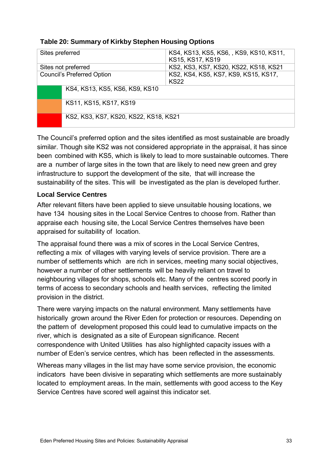| Sites preferred                   |                                       | KS4, KS13, KS5, KS6, , KS9, KS10, KS11,<br>KS15, KS17, KS19 |  |
|-----------------------------------|---------------------------------------|-------------------------------------------------------------|--|
| Sites not preferred               |                                       | KS2, KS3, KS7, KS20, KS22, KS18, KS21                       |  |
| <b>Council's Preferred Option</b> |                                       | KS2, KS4, KS5, KS7, KS9, KS15, KS17,<br><b>KS22</b>         |  |
|                                   | KS4, KS13, KS5, KS6, KS9, KS10        |                                                             |  |
|                                   | KS11, KS15, KS17, KS19                |                                                             |  |
|                                   | KS2, KS3, KS7, KS20, KS22, KS18, KS21 |                                                             |  |

#### **Table 20: Summary of Kirkby Stephen Housing Options**

The Council's preferred option and the sites identified as most sustainable are broadly similar. Though site KS2 was not considered appropriate in the appraisal, it has since been combined with KS5, which is likely to lead to more sustainable outcomes. There are a number of large sites in the town that are likely to need new green and grey infrastructure to support the development of the site, that will increase the sustainability of the sites. This will be investigated as the plan is developed further.

#### **Local Service Centres**

After relevant filters have been applied to sieve unsuitable housing locations, we have 134 housing sites in the Local Service Centres to choose from. Rather than appraise each housing site, the Local Service Centres themselves have been appraised for suitability of location.

The appraisal found there was a mix of scores in the Local Service Centres, reflecting a mix of villages with varying levels of service provision. There are a number of settlements which are rich in services, meeting many social objectives, however a number of other settlements will be heavily reliant on travel to neighbouring villages for shops, schools etc. Many of the centres scored poorly in terms of access to secondary schools and health services, reflecting the limited provision in the district.

There were varying impacts on the natural environment. Many settlements have historically grown around the River Eden for protection or resources. Depending on the pattern of development proposed this could lead to cumulative impacts on the river, which is designated as a site of European significance. Recent correspondence with United Utilities has also highlighted capacity issues with a number of Eden's service centres, which has been reflected in the assessments.

Whereas many villages in the list may have some service provision, the economic indicators have been divisive in separating which settlements are more sustainably located to employment areas. In the main, settlements with good access to the Key Service Centres have scored well against this indicator set.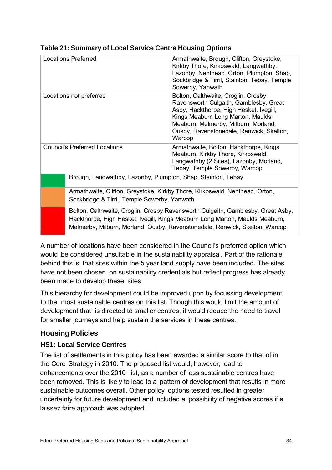| <b>Locations Preferred</b>           |                                                                                                                                                                                                                                                 | Armathwaite, Brough, Clifton, Greystoke,<br>Kirkby Thore, Kirkoswald, Langwathby,<br>Lazonby, Nenthead, Orton, Plumpton, Shap,<br>Sockbridge & Tirril, Stainton, Tebay, Temple<br>Sowerby, Yanwath                                                          |  |
|--------------------------------------|-------------------------------------------------------------------------------------------------------------------------------------------------------------------------------------------------------------------------------------------------|-------------------------------------------------------------------------------------------------------------------------------------------------------------------------------------------------------------------------------------------------------------|--|
| Locations not preferred              |                                                                                                                                                                                                                                                 | Bolton, Calthwaite, Croglin, Crosby<br>Ravensworth Culgaith, Gamblesby, Great<br>Asby, Hackthorpe, High Hesket, Ivegill,<br>Kings Meaburn Long Marton, Maulds<br>Meaburn, Melmerby, Milburn, Morland,<br>Ousby, Ravenstonedale, Renwick, Skelton,<br>Warcop |  |
| <b>Council's Preferred Locations</b> |                                                                                                                                                                                                                                                 | Armathwaite, Bolton, Hackthorpe, Kings<br>Meaburn, Kirkby Thore, Kirkoswald,<br>Langwathby (2 Sites), Lazonby, Morland,<br>Tebay, Temple Sowerby, Warcop                                                                                                    |  |
|                                      | Brough, Langwathby, Lazonby, Plumpton, Shap, Stainton, Tebay                                                                                                                                                                                    |                                                                                                                                                                                                                                                             |  |
|                                      | Armathwaite, Clifton, Greystoke, Kirkby Thore, Kirkoswald, Nenthead, Orton,<br>Sockbridge & Tirril, Temple Sowerby, Yanwath                                                                                                                     |                                                                                                                                                                                                                                                             |  |
|                                      | Bolton, Calthwaite, Croglin, Crosby Ravensworth Culgaith, Gamblesby, Great Asby,<br>Hackthorpe, High Hesket, Ivegill, Kings Meaburn Long Marton, Maulds Meaburn,<br>Melmerby, Milburn, Morland, Ousby, Ravenstonedale, Renwick, Skelton, Warcop |                                                                                                                                                                                                                                                             |  |

#### **Table 21: Summary of Local Service Centre Housing Options**

A number of locations have been considered in the Council's preferred option which would be considered unsuitable in the sustainability appraisal. Part of the rationale behind this is that sites within the 5 year land supply have been included. The sites have not been chosen on sustainability credentials but reflect progress has already been made to develop these sites.

This hierarchy for development could be improved upon by focussing development to the most sustainable centres on this list. Though this would limit the amount of development that is directed to smaller centres, it would reduce the need to travel for smaller journeys and help sustain the services in these centres.

## **Housing Policies**

#### **HS1: Local Service Centres**

The list of settlements in this policy has been awarded a similar score to that of in the Core Strategy in 2010. The proposed list would, however, lead to enhancements over the 2010 list, as a number of less sustainable centres have been removed. This is likely to lead to a pattern of development that results in more sustainable outcomes overall. Other policy options tested resulted in greater uncertainty for future development and included a possibility of negative scores if a laissez faire approach was adopted.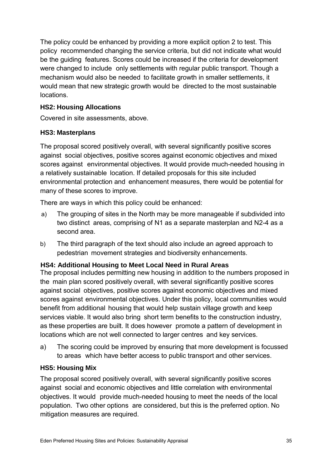The policy could be enhanced by providing a more explicit option 2 to test. This policy recommended changing the service criteria, but did not indicate what would be the guiding features. Scores could be increased if the criteria for development were changed to include only settlements with regular public transport. Though a mechanism would also be needed to facilitate growth in smaller settlements, it would mean that new strategic growth would be directed to the most sustainable locations.

#### **HS2: Housing Allocations**

Covered in site assessments, above.

#### **HS3: Masterplans**

The proposal scored positively overall, with several significantly positive scores against social objectives, positive scores against economic objectives and mixed scores against environmental objectives. It would provide much-needed housing in a relatively sustainable location. If detailed proposals for this site included environmental protection and enhancement measures, there would be potential for many of these scores to improve.

There are ways in which this policy could be enhanced:

- a) The grouping of sites in the North may be more manageable if subdivided into two distinct areas, comprising of N1 as a separate masterplan and N2-4 as a second area.
- b) The third paragraph of the text should also include an agreed approach to pedestrian movement strategies and biodiversity enhancements.

#### **HS4: Additional Housing to Meet Local Need in Rural Areas**

The proposal includes permitting new housing in addition to the numbers proposed in the main plan scored positively overall, with several significantly positive scores against social objectives, positive scores against economic objectives and mixed scores against environmental objectives. Under this policy, local communities would benefit from additional housing that would help sustain village growth and keep services viable. It would also bring short term benefits to the construction industry, as these properties are built. It does however promote a pattern of development in locations which are not well connected to larger centres and key services.

a) The scoring could be improved by ensuring that more development is focussed to areas which have better access to public transport and other services.

#### **HS5: Housing Mix**

The proposal scored positively overall, with several significantly positive scores against social and economic objectives and little correlation with environmental objectives. It would provide much-needed housing to meet the needs of the local population. Two other options are considered, but this is the preferred option. No mitigation measures are required.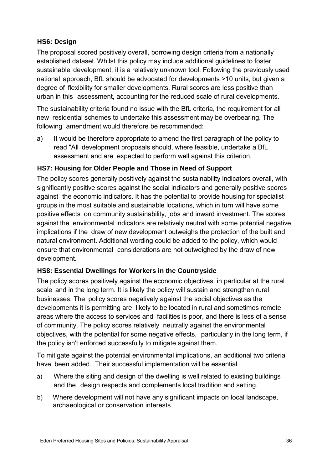#### **HS6: Design**

The proposal scored positively overall, borrowing design criteria from a nationally established dataset. Whilst this policy may include additional guidelines to foster sustainable development, it is a relatively unknown tool. Following the previously used national approach, BfL should be advocated for developments >10 units, but given a degree of flexibility for smaller developments. Rural scores are less positive than urban in this assessment, accounting for the reduced scale of rural developments.

The sustainability criteria found no issue with the BfL criteria, the requirement for all new residential schemes to undertake this assessment may be overbearing. The following amendment would therefore be recommended:

a) It would be therefore appropriate to amend the first paragraph of the policy to read "All development proposals should, where feasible, undertake a BfL assessment and are expected to perform well against this criterion.

#### **HS7: Housing for Older People and Those in Need of Support**

The policy scores generally positively against the sustainability indicators overall, with significantly positive scores against the social indicators and generally positive scores against the economic indicators. It has the potential to provide housing for specialist groups in the most suitable and sustainable locations, which in turn will have some positive effects on community sustainability, jobs and inward investment. The scores against the environmental indicators are relatively neutral with some potential negative implications if the draw of new development outweighs the protection of the built and natural environment. Additional wording could be added to the policy, which would ensure that environmental considerations are not outweighed by the draw of new development.

## **HS8: Essential Dwellings for Workers in the Countryside**

The policy scores positively against the economic objectives, in particular at the rural scale and in the long term. It is likely the policy will sustain and strengthen rural businesses. The policy scores negatively against the social objectives as the developments it is permitting are likely to be located in rural and sometimes remote areas where the access to services and facilities is poor, and there is less of a sense of community. The policy scores relatively neutrally against the environmental objectives, with the potential for some negative effects, particularly in the long term, if the policy isn't enforced successfully to mitigate against them.

To mitigate against the potential environmental implications, an additional two criteria have been added. Their successful implementation will be essential.

- a) Where the siting and design of the dwelling is well related to existing buildings and the design respects and complements local tradition and setting.
- b) Where development will not have any significant impacts on local landscape, archaeological or conservation interests.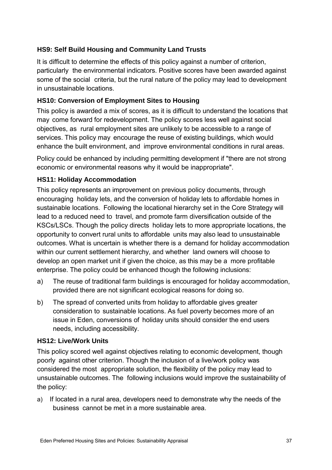### **HS9: Self Build Housing and Community Land Trusts**

It is difficult to determine the effects of this policy against a number of criterion, particularly the environmental indicators. Positive scores have been awarded against some of the social criteria, but the rural nature of the policy may lead to development in unsustainable locations.

#### **HS10: Conversion of Employment Sites to Housing**

This policy is awarded a mix of scores, as it is difficult to understand the locations that may come forward for redevelopment. The policy scores less well against social objectives, as rural employment sites are unlikely to be accessible to a range of services. This policy may encourage the reuse of existing buildings, which would enhance the built environment, and improve environmental conditions in rural areas.

Policy could be enhanced by including permitting development if "there are not strong economic or environmental reasons why it would be inappropriate".

#### **HS11: Holiday Accommodation**

This policy represents an improvement on previous policy documents, through encouraging holiday lets, and the conversion of holiday lets to affordable homes in sustainable locations. Following the locational hierarchy set in the Core Strategy will lead to a reduced need to travel, and promote farm diversification outside of the KSCs/LSCs. Though the policy directs holiday lets to more appropriate locations, the opportunity to convert rural units to affordable units may also lead to unsustainable outcomes. What is uncertain is whether there is a demand for holiday accommodation within our current settlement hierarchy, and whether land owners will choose to develop an open market unit if given the choice, as this may be a more profitable enterprise. The policy could be enhanced though the following inclusions:

- a) The reuse of traditional farm buildings is encouraged for holiday accommodation, provided there are not significant ecological reasons for doing so.
- b) The spread of converted units from holiday to affordable gives greater consideration to sustainable locations. As fuel poverty becomes more of an issue in Eden, conversions of holiday units should consider the end users needs, including accessibility.

#### **HS12: Live/Work Units**

This policy scored well against objectives relating to economic development, though poorly against other criterion. Though the inclusion of a live/work policy was considered the most appropriate solution, the flexibility of the policy may lead to unsustainable outcomes. The following inclusions would improve the sustainability of the policy:

a) If located in a rural area, developers need to demonstrate why the needs of the business cannot be met in a more sustainable area.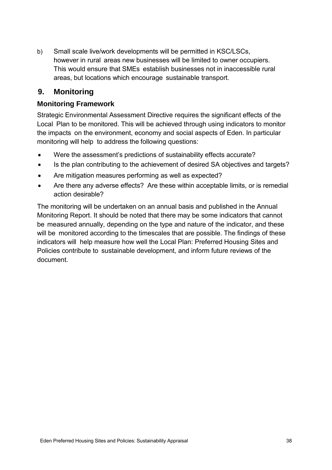b) Small scale live/work developments will be permitted in KSC/LSCs, however in rural areas new businesses will be limited to owner occupiers. This would ensure that SMEs establish businesses not in inaccessible rural areas, but locations which encourage sustainable transport.

# **9. Monitoring**

### **Monitoring Framework**

Strategic Environmental Assessment Directive requires the significant effects of the Local Plan to be monitored. This will be achieved through using indicators to monitor the impacts on the environment, economy and social aspects of Eden. In particular monitoring will help to address the following questions:

- Were the assessment's predictions of sustainability effects accurate?
- Is the plan contributing to the achievement of desired SA objectives and targets?
- Are mitigation measures performing as well as expected?
- Are there any adverse effects? Are these within acceptable limits, or is remedial action desirable?

The monitoring will be undertaken on an annual basis and published in the Annual Monitoring Report. It should be noted that there may be some indicators that cannot be measured annually, depending on the type and nature of the indicator, and these will be monitored according to the timescales that are possible. The findings of these indicators will help measure how well the Local Plan: Preferred Housing Sites and Policies contribute to sustainable development, and inform future reviews of the document.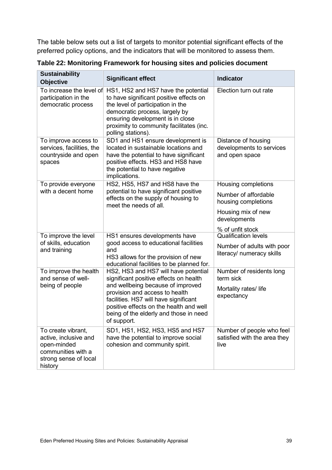The table below sets out a list of targets to monitor potential significant effects of the preferred policy options, and the indicators that will be monitored to assess them.

| <b>Sustainability</b><br><b>Objective</b>                                                                            | <b>Significant effect</b>                                                                                                                                                                                                                                                                          | <b>Indicator</b>                                                                                                             |
|----------------------------------------------------------------------------------------------------------------------|----------------------------------------------------------------------------------------------------------------------------------------------------------------------------------------------------------------------------------------------------------------------------------------------------|------------------------------------------------------------------------------------------------------------------------------|
| To increase the level of<br>participation in the<br>democratic process                                               | HS1, HS2 and HS7 have the potential<br>to have significant positive effects on<br>the level of participation in the<br>democratic process, largely by<br>ensuring development is in close<br>proximity to community facilitates (inc.<br>polling stations).                                        | Election turn out rate                                                                                                       |
| To improve access to<br>services, facilities, the<br>countryside and open<br>spaces                                  | SD1 and HS1 ensure development is<br>located in sustainable locations and<br>have the potential to have significant<br>positive effects. HS3 and HS8 have<br>the potential to have negative<br>implications.                                                                                       | Distance of housing<br>developments to services<br>and open space                                                            |
| To provide everyone<br>with a decent home                                                                            | HS2, HS5, HS7 and HS8 have the<br>potential to have significant positive<br>effects on the supply of housing to<br>meet the needs of all.                                                                                                                                                          | Housing completions<br>Number of affordable<br>housing completions<br>Housing mix of new<br>developments<br>% of unfit stock |
| To improve the level<br>of skills, education<br>and training                                                         | HS1 ensures developments have<br>good access to educational facilities<br>and<br>HS3 allows for the provision of new<br>educational facilities to be planned for.                                                                                                                                  | <b>Qualification levels</b><br>Number of adults with poor<br>literacy/ numeracy skills                                       |
| To improve the health<br>and sense of well-<br>being of people                                                       | HS2, HS3 and HS7 will have potential<br>significant positive effects on health<br>and wellbeing because of improved<br>provision and access to health<br>facilities. HS7 will have significant<br>positive effects on the health and well<br>being of the elderly and those in need<br>of support. | Number of residents long<br>term sick<br>Mortality rates/life<br>expectancy                                                  |
| To create vibrant,<br>active, inclusive and<br>open-minded<br>communities with a<br>strong sense of local<br>history | SD1, HS1, HS2, HS3, HS5 and HS7<br>have the potential to improve social<br>cohesion and community spirit.                                                                                                                                                                                          | Number of people who feel<br>satisfied with the area they<br>live                                                            |

**Table 22: Monitoring Framework for housing sites and policies document**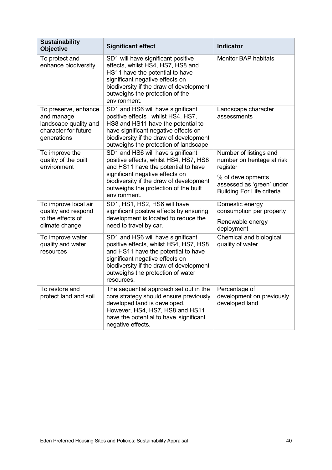| <b>Sustainability</b><br><b>Objective</b>                                                          | <b>Significant effect</b>                                                                                                                                                                                                                           | <b>Indicator</b>                                                                    |
|----------------------------------------------------------------------------------------------------|-----------------------------------------------------------------------------------------------------------------------------------------------------------------------------------------------------------------------------------------------------|-------------------------------------------------------------------------------------|
| To protect and<br>enhance biodiversity                                                             | SD1 will have significant positive<br>effects, whilst HS4, HS7, HS8 and<br>HS11 have the potential to have<br>significant negative effects on<br>biodiversity if the draw of development<br>outweighs the protection of the<br>environment.         | <b>Monitor BAP habitats</b>                                                         |
| To preserve, enhance<br>and manage<br>landscape quality and<br>character for future<br>generations | SD1 and HS6 will have significant<br>positive effects, whilst HS4, HS7,<br>HS8 and HS11 have the potential to<br>have significant negative effects on<br>biodiversity if the draw of development<br>outweighs the protection of landscape.          | Landscape character<br>assessments                                                  |
| To improve the<br>quality of the built<br>environment                                              | SD1 and HS6 will have significant<br>positive effects, whilst HS4, HS7, HS8<br>and HS11 have the potential to have<br>significant negative effects on                                                                                               | Number of listings and<br>number on heritage at risk<br>register                    |
|                                                                                                    | biodiversity if the draw of development<br>outweighs the protection of the built<br>environment.                                                                                                                                                    | % of developments<br>assessed as 'green' under<br><b>Building For Life criteria</b> |
| To improve local air<br>quality and respond<br>to the effects of<br>climate change                 | SD1, HS1, HS2, HS6 will have<br>significant positive effects by ensuring<br>development is located to reduce the<br>need to travel by car.                                                                                                          | Domestic energy<br>consumption per property<br>Renewable energy<br>deployment       |
| To improve water<br>quality and water<br>resources                                                 | SD1 and HS6 will have significant<br>positive effects, whilst HS4, HS7, HS8<br>and HS11 have the potential to have<br>significant negative effects on<br>biodiversity if the draw of development<br>outweighs the protection of water<br>resources. | Chemical and biological<br>quality of water                                         |
| To restore and<br>protect land and soil                                                            | The sequential approach set out in the<br>core strategy should ensure previously<br>developed land is developed.<br>However, HS4, HS7, HS8 and HS11<br>have the potential to have significant<br>negative effects.                                  | Percentage of<br>development on previously<br>developed land                        |